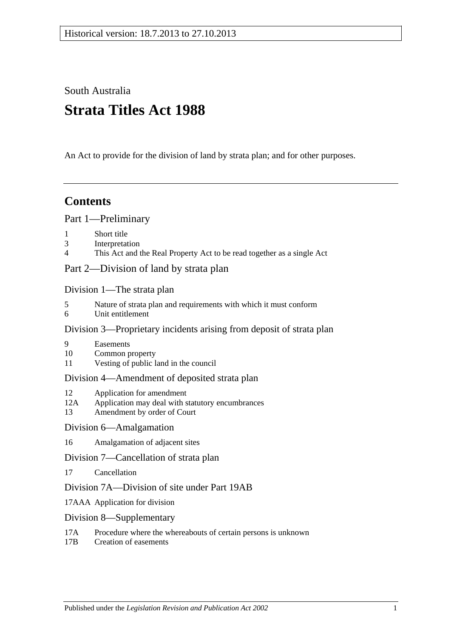South Australia

# **Strata Titles Act 1988**

An Act to provide for the division of land by strata plan; and for other purposes.

## **Contents**

[Part 1—Preliminary](#page-2-0)

- 1 [Short title](#page-2-1)
- 3 [Interpretation](#page-2-2)
- 4 [This Act and the Real Property Act to be read together as a single Act](#page-5-0)

[Part 2—Division of land by strata plan](#page-5-1)

[Division 1—The strata plan](#page-5-2)

- 5 [Nature of strata plan and requirements with which it must conform](#page-5-3)
- 6 [Unit entitlement](#page-6-0)

## [Division 3—Proprietary incidents arising from deposit of strata plan](#page-7-0)

- 9 [Easements](#page-7-1)
- 10 [Common property](#page-7-2)
- 11 [Vesting of public land in the council](#page-7-3)

## [Division 4—Amendment of deposited strata plan](#page-7-4)

- 12 [Application for amendment](#page-7-5)
- 12A [Application may deal with statutory encumbrances](#page-10-0)
- 13 [Amendment by order of Court](#page-10-1)

## [Division 6—Amalgamation](#page-11-0)

16 [Amalgamation of adjacent sites](#page-11-1)

## [Division 7—Cancellation of strata plan](#page-12-0)

17 [Cancellation](#page-12-1)

## [Division 7A—Division of site under Part 19AB](#page-13-0)

- 17AAA [Application for division](#page-13-1)
- [Division 8—Supplementary](#page-14-0)
- 17A [Procedure where the whereabouts of certain persons is unknown](#page-14-1)
- 17B [Creation of easements](#page-15-0)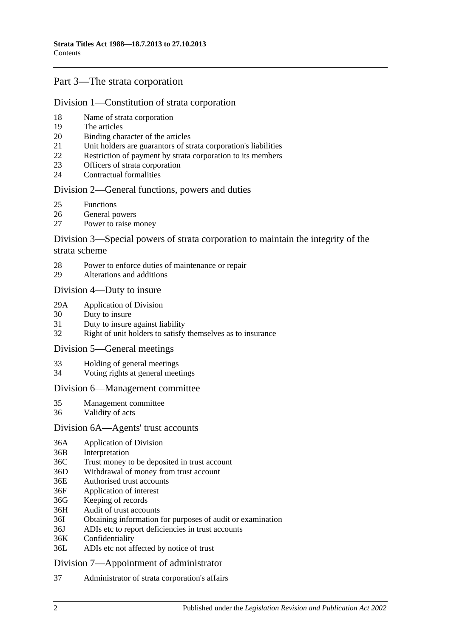## [Part 3—The strata corporation](#page-15-1)

### [Division 1—Constitution of strata corporation](#page-15-2)

- 18 [Name of strata corporation](#page-15-3)
- 19 [The articles](#page-15-4)
- 20 [Binding character of the articles](#page-16-0)
- 21 [Unit holders are guarantors of strata corporation's liabilities](#page-16-1)
- 22 [Restriction of payment by strata corporation to its members](#page-16-2)
- 23 [Officers of strata corporation](#page-16-3)
- 24 [Contractual formalities](#page-17-0)

### [Division 2—General functions, powers and duties](#page-17-1)

- 25 [Functions](#page-17-2)
- 26 [General powers](#page-17-3)
- 27 [Power to raise money](#page-18-0)

### [Division 3—Special powers of strata corporation to maintain the integrity of the](#page-19-0)  [strata scheme](#page-19-0)

- 28 [Power to enforce duties of maintenance or repair](#page-19-1)
- 29 [Alterations and additions](#page-19-2)

#### [Division 4—Duty to insure](#page-20-0)

- 29A [Application of Division](#page-20-1)
- 30 [Duty to insure](#page-20-2)
- 31 [Duty to insure against liability](#page-20-3)
- 32 [Right of unit holders to satisfy themselves as to insurance](#page-20-4)

#### [Division 5—General meetings](#page-21-0)

- 33 [Holding of general meetings](#page-21-1)
- 34 [Voting rights at general meetings](#page-21-2)

### [Division 6—Management committee](#page-22-0)

- 35 [Management committee](#page-22-1)
- 36 [Validity of acts](#page-23-0)

#### [Division 6A—Agents' trust accounts](#page-23-1)

- 36A [Application of Division](#page-23-2)
- 36B [Interpretation](#page-24-0)
- 36C [Trust money to be deposited in trust account](#page-24-1)
- 36D [Withdrawal of money from trust account](#page-24-2)
- 36E [Authorised trust accounts](#page-24-3)
- 36F [Application of interest](#page-25-0)
- 36G [Keeping of records](#page-25-1)
- 36H [Audit of trust accounts](#page-25-2)
- 36I [Obtaining information for purposes of audit or examination](#page-26-0)
- 36J [ADIs etc to report deficiencies in trust accounts](#page-26-1)
- 36K [Confidentiality](#page-26-2)
- 36L [ADIs etc not affected by notice of trust](#page-26-3)

### [Division 7—Appointment of administrator](#page-27-0)

37 [Administrator of strata corporation's affairs](#page-27-1)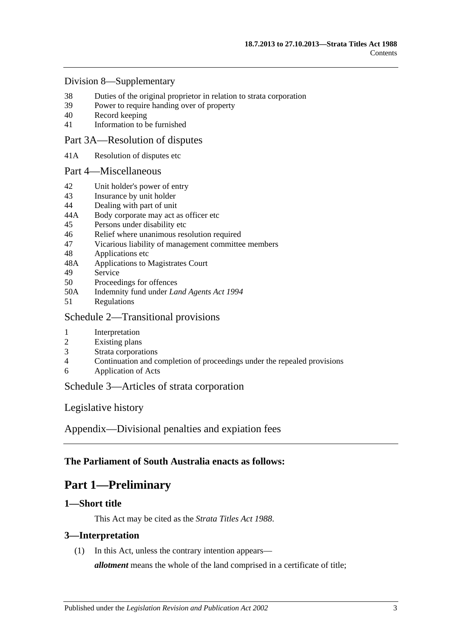### [Division 8—Supplementary](#page-27-2)

- 38 [Duties of the original proprietor in relation to strata corporation](#page-27-3)<br>39 Power to require handing over of property
- [Power to require handing over of property](#page-28-0)
- 40 [Record keeping](#page-28-1)
- 41 [Information to be furnished](#page-29-0)

### [Part 3A—Resolution of disputes](#page-30-0)

41A [Resolution of disputes etc](#page-30-1)

### [Part 4—Miscellaneous](#page-32-0)

- 42 [Unit holder's power](#page-32-1) of entry
- 43 [Insurance by unit holder](#page-32-2)
- 44 [Dealing with part of unit](#page-33-0)
- 44A [Body corporate may act as officer etc](#page-34-0)
- 45 [Persons under disability etc](#page-34-1)
- 46 [Relief where unanimous resolution required](#page-34-2)
- 47 [Vicarious liability of management committee members](#page-35-0)
- 48 [Applications etc](#page-35-1)
- 48A [Applications to Magistrates Court](#page-35-2)
- 49 [Service](#page-35-3)
- 50 [Proceedings for offences](#page-36-0)
- 50A [Indemnity fund under](#page-36-1) *Land Agents Act 1994*
- 51 [Regulations](#page-36-2)

### [Schedule 2—Transitional provisions](#page-37-0)

### 1 [Interpretation](#page-37-1)

- 2 [Existing plans](#page-37-2)
- 3 [Strata corporations](#page-37-3)
- 4 [Continuation and completion of proceedings under the repealed provisions](#page-37-4)
- 6 [Application of Acts](#page-37-5)

## [Schedule 3—Articles of strata corporation](#page-37-6)

[Legislative history](#page-40-0)

[Appendix—Divisional penalties and expiation fees](#page-48-0)

## <span id="page-2-0"></span>**The Parliament of South Australia enacts as follows:**

## **Part 1—Preliminary**

## <span id="page-2-1"></span>**1—Short title**

This Act may be cited as the *Strata Titles Act 1988*.

## <span id="page-2-2"></span>**3—Interpretation**

(1) In this Act, unless the contrary intention appears—

*allotment* means the whole of the land comprised in a certificate of title;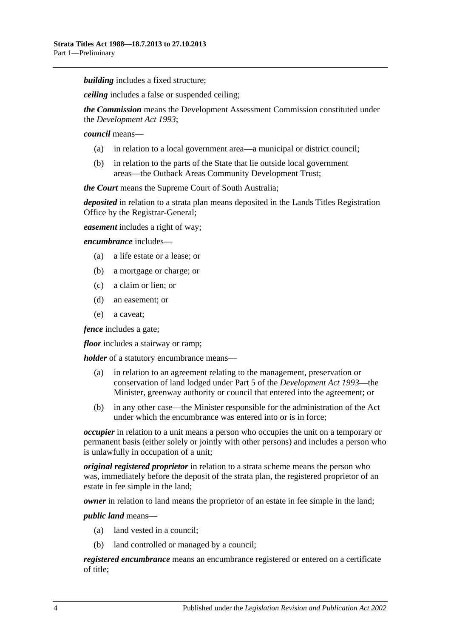*building* includes a fixed structure;

*ceiling* includes a false or suspended ceiling;

*the Commission* means the Development Assessment Commission constituted under the *[Development Act](http://www.legislation.sa.gov.au/index.aspx?action=legref&type=act&legtitle=Development%20Act%201993) 1993*;

*council* means—

- (a) in relation to a local government area—a municipal or district council;
- (b) in relation to the parts of the State that lie outside local government areas—the Outback Areas Community Development Trust;

*the Court* means the Supreme Court of South Australia;

*deposited* in relation to a strata plan means deposited in the Lands Titles Registration Office by the Registrar-General;

*easement* includes a right of way;

*encumbrance* includes—

- (a) a life estate or a lease; or
- (b) a mortgage or charge; or
- (c) a claim or lien; or
- (d) an easement; or
- (e) a caveat;

*fence* includes a gate;

*floor* includes a stairway or ramp;

*holder* of a statutory encumbrance means—

- (a) in relation to an agreement relating to the management, preservation or conservation of land lodged under Part 5 of the *[Development Act](http://www.legislation.sa.gov.au/index.aspx?action=legref&type=act&legtitle=Development%20Act%201993) 1993*—the Minister, greenway authority or council that entered into the agreement; or
- (b) in any other case—the Minister responsible for the administration of the Act under which the encumbrance was entered into or is in force;

*occupier* in relation to a unit means a person who occupies the unit on a temporary or permanent basis (either solely or jointly with other persons) and includes a person who is unlawfully in occupation of a unit;

*original registered proprietor* in relation to a strata scheme means the person who was, immediately before the deposit of the strata plan, the registered proprietor of an estate in fee simple in the land;

*owner* in relation to land means the proprietor of an estate in fee simple in the land;

*public land* means—

- (a) land vested in a council;
- (b) land controlled or managed by a council;

*registered encumbrance* means an encumbrance registered or entered on a certificate of title;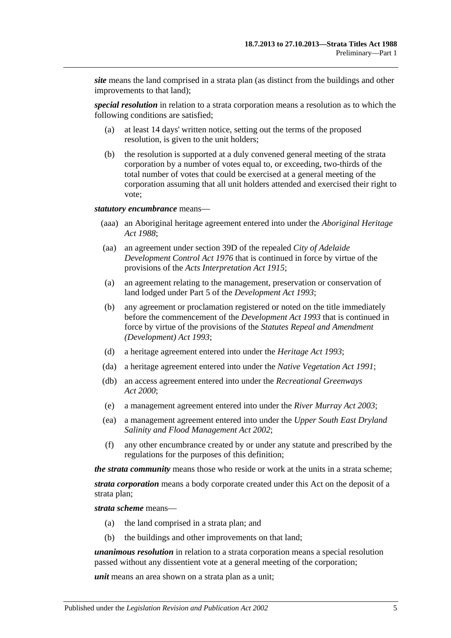*site* means the land comprised in a strata plan (as distinct from the buildings and other improvements to that land);

*special resolution* in relation to a strata corporation means a resolution as to which the following conditions are satisfied;

- (a) at least 14 days' written notice, setting out the terms of the proposed resolution, is given to the unit holders;
- (b) the resolution is supported at a duly convened general meeting of the strata corporation by a number of votes equal to, or exceeding, two-thirds of the total number of votes that could be exercised at a general meeting of the corporation assuming that all unit holders attended and exercised their right to vote;

#### *statutory encumbrance* means—

- (aaa) an Aboriginal heritage agreement entered into under the *[Aboriginal Heritage](http://www.legislation.sa.gov.au/index.aspx?action=legref&type=act&legtitle=Aboriginal%20Heritage%20Act%201988)  Act [1988](http://www.legislation.sa.gov.au/index.aspx?action=legref&type=act&legtitle=Aboriginal%20Heritage%20Act%201988)*;
- (aa) an agreement under section 39D of the repealed *[City of Adelaide](http://www.legislation.sa.gov.au/index.aspx?action=legref&type=act&legtitle=City%20of%20Adelaide%20Development%20Control%20Act%201976)  [Development Control Act](http://www.legislation.sa.gov.au/index.aspx?action=legref&type=act&legtitle=City%20of%20Adelaide%20Development%20Control%20Act%201976) 1976* that is continued in force by virtue of the provisions of the *[Acts Interpretation Act](http://www.legislation.sa.gov.au/index.aspx?action=legref&type=act&legtitle=Acts%20Interpretation%20Act%201915) 1915*;
- (a) an agreement relating to the management, preservation or conservation of land lodged under Part 5 of the *[Development Act](http://www.legislation.sa.gov.au/index.aspx?action=legref&type=act&legtitle=Development%20Act%201993) 1993*;
- (b) any agreement or proclamation registered or noted on the title immediately before the commencement of the *[Development Act](http://www.legislation.sa.gov.au/index.aspx?action=legref&type=act&legtitle=Development%20Act%201993) 1993* that is continued in force by virtue of the provisions of the *[Statutes Repeal and Amendment](http://www.legislation.sa.gov.au/index.aspx?action=legref&type=act&legtitle=Statutes%20Repeal%20and%20Amendment%20(Development)%20Act%201993)  [\(Development\) Act](http://www.legislation.sa.gov.au/index.aspx?action=legref&type=act&legtitle=Statutes%20Repeal%20and%20Amendment%20(Development)%20Act%201993) 1993*;
- (d) a heritage agreement entered into under the *[Heritage Act](http://www.legislation.sa.gov.au/index.aspx?action=legref&type=act&legtitle=Heritage%20Act%201993) 1993*;
- (da) a heritage agreement entered into under the *[Native Vegetation Act](http://www.legislation.sa.gov.au/index.aspx?action=legref&type=act&legtitle=Native%20Vegetation%20Act%201991) 1991*;
- (db) an access agreement entered into under the *[Recreational Greenways](http://www.legislation.sa.gov.au/index.aspx?action=legref&type=act&legtitle=Recreational%20Greenways%20Act%202000)  Act [2000](http://www.legislation.sa.gov.au/index.aspx?action=legref&type=act&legtitle=Recreational%20Greenways%20Act%202000)*;
- (e) a management agreement entered into under the *[River Murray Act](http://www.legislation.sa.gov.au/index.aspx?action=legref&type=act&legtitle=River%20Murray%20Act%202003) 2003*;
- (ea) a management agreement entered into under the *[Upper South East Dryland](http://www.legislation.sa.gov.au/index.aspx?action=legref&type=act&legtitle=Upper%20South%20East%20Dryland%20Salinity%20and%20Flood%20Management%20Act%202002)  [Salinity and Flood Management Act](http://www.legislation.sa.gov.au/index.aspx?action=legref&type=act&legtitle=Upper%20South%20East%20Dryland%20Salinity%20and%20Flood%20Management%20Act%202002) 2002*;
- (f) any other encumbrance created by or under any statute and prescribed by the regulations for the purposes of this definition;

*the strata community* means those who reside or work at the units in a strata scheme;

*strata corporation* means a body corporate created under this Act on the deposit of a strata plan;

*strata scheme* means—

- (a) the land comprised in a strata plan; and
- (b) the buildings and other improvements on that land;

*unanimous resolution* in relation to a strata corporation means a special resolution passed without any dissentient vote at a general meeting of the corporation;

*unit* means an area shown on a strata plan as a unit;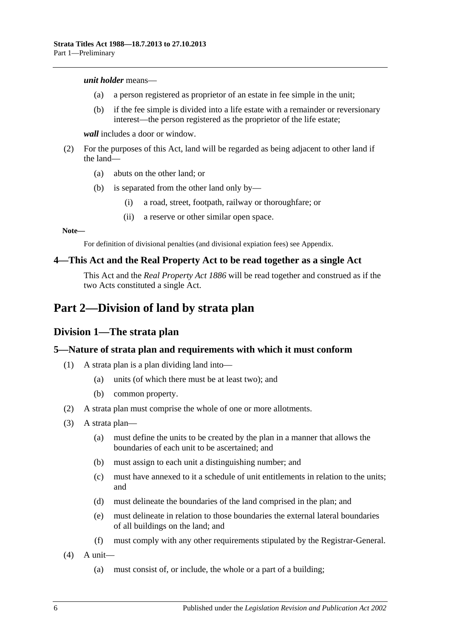#### *unit holder* means—

- (a) a person registered as proprietor of an estate in fee simple in the unit;
- (b) if the fee simple is divided into a life estate with a remainder or reversionary interest—the person registered as the proprietor of the life estate;

*wall* includes a door or window.

- (2) For the purposes of this Act, land will be regarded as being adjacent to other land if the land—
	- (a) abuts on the other land; or
	- (b) is separated from the other land only by—
		- (i) a road, street, footpath, railway or thoroughfare; or
		- (ii) a reserve or other similar open space.

#### **Note—**

For definition of divisional penalties (and divisional expiation fees) see Appendix.

### <span id="page-5-0"></span>**4—This Act and the Real Property Act to be read together as a single Act**

This Act and the *[Real Property Act](http://www.legislation.sa.gov.au/index.aspx?action=legref&type=act&legtitle=Real%20Property%20Act%201886) 1886* will be read together and construed as if the two Acts constituted a single Act.

## <span id="page-5-2"></span><span id="page-5-1"></span>**Part 2—Division of land by strata plan**

## **Division 1—The strata plan**

## <span id="page-5-3"></span>**5—Nature of strata plan and requirements with which it must conform**

- (1) A strata plan is a plan dividing land into—
	- (a) units (of which there must be at least two); and
	- (b) common property.
- (2) A strata plan must comprise the whole of one or more allotments.
- (3) A strata plan—
	- (a) must define the units to be created by the plan in a manner that allows the boundaries of each unit to be ascertained; and
	- (b) must assign to each unit a distinguishing number; and
	- (c) must have annexed to it a schedule of unit entitlements in relation to the units; and
	- (d) must delineate the boundaries of the land comprised in the plan; and
	- (e) must delineate in relation to those boundaries the external lateral boundaries of all buildings on the land; and
	- (f) must comply with any other requirements stipulated by the Registrar-General.
- $(4)$  A unit—
	- (a) must consist of, or include, the whole or a part of a building;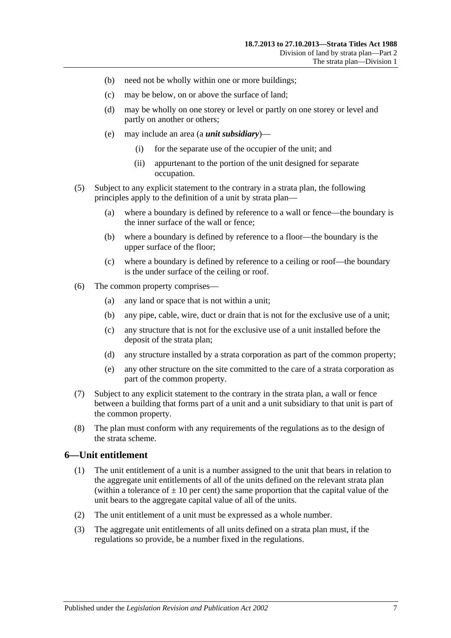- (b) need not be wholly within one or more buildings;
- (c) may be below, on or above the surface of land;
- (d) may be wholly on one storey or level or partly on one storey or level and partly on another or others;
- (e) may include an area (a *unit subsidiary*)—
	- (i) for the separate use of the occupier of the unit; and
	- (ii) appurtenant to the portion of the unit designed for separate occupation.
- (5) Subject to any explicit statement to the contrary in a strata plan, the following principles apply to the definition of a unit by strata plan—
	- (a) where a boundary is defined by reference to a wall or fence—the boundary is the inner surface of the wall or fence;
	- (b) where a boundary is defined by reference to a floor—the boundary is the upper surface of the floor;
	- (c) where a boundary is defined by reference to a ceiling or roof—the boundary is the under surface of the ceiling or roof.
- (6) The common property comprises—
	- (a) any land or space that is not within a unit;
	- (b) any pipe, cable, wire, duct or drain that is not for the exclusive use of a unit;
	- (c) any structure that is not for the exclusive use of a unit installed before the deposit of the strata plan;
	- (d) any structure installed by a strata corporation as part of the common property;
	- (e) any other structure on the site committed to the care of a strata corporation as part of the common property.
- (7) Subject to any explicit statement to the contrary in the strata plan, a wall or fence between a building that forms part of a unit and a unit subsidiary to that unit is part of the common property.
- (8) The plan must conform with any requirements of the regulations as to the design of the strata scheme.

### <span id="page-6-0"></span>**6—Unit entitlement**

- (1) The unit entitlement of a unit is a number assigned to the unit that bears in relation to the aggregate unit entitlements of all of the units defined on the relevant strata plan (within a tolerance of  $\pm 10$  per cent) the same proportion that the capital value of the unit bears to the aggregate capital value of all of the units.
- (2) The unit entitlement of a unit must be expressed as a whole number.
- (3) The aggregate unit entitlements of all units defined on a strata plan must, if the regulations so provide, be a number fixed in the regulations.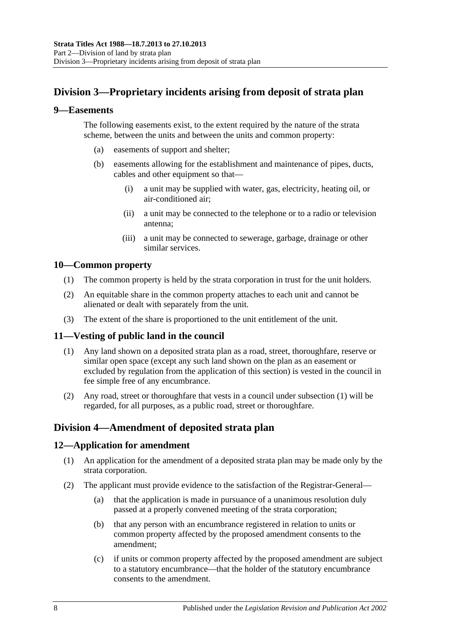## <span id="page-7-0"></span>**Division 3—Proprietary incidents arising from deposit of strata plan**

### <span id="page-7-1"></span>**9—Easements**

The following easements exist, to the extent required by the nature of the strata scheme, between the units and between the units and common property:

- (a) easements of support and shelter;
- (b) easements allowing for the establishment and maintenance of pipes, ducts, cables and other equipment so that—
	- (i) a unit may be supplied with water, gas, electricity, heating oil, or air-conditioned air;
	- (ii) a unit may be connected to the telephone or to a radio or television antenna;
	- (iii) a unit may be connected to sewerage, garbage, drainage or other similar services.

## <span id="page-7-2"></span>**10—Common property**

- (1) The common property is held by the strata corporation in trust for the unit holders.
- (2) An equitable share in the common property attaches to each unit and cannot be alienated or dealt with separately from the unit.
- (3) The extent of the share is proportioned to the unit entitlement of the unit.

## <span id="page-7-6"></span><span id="page-7-3"></span>**11—Vesting of public land in the council**

- (1) Any land shown on a deposited strata plan as a road, street, thoroughfare, reserve or similar open space (except any such land shown on the plan as an easement or excluded by regulation from the application of this section) is vested in the council in fee simple free of any encumbrance.
- (2) Any road, street or thoroughfare that vests in a council under [subsection](#page-7-6) (1) will be regarded, for all purposes, as a public road, street or thoroughfare.

## <span id="page-7-4"></span>**Division 4—Amendment of deposited strata plan**

## <span id="page-7-5"></span>**12—Application for amendment**

- (1) An application for the amendment of a deposited strata plan may be made only by the strata corporation.
- (2) The applicant must provide evidence to the satisfaction of the Registrar-General—
	- (a) that the application is made in pursuance of a unanimous resolution duly passed at a properly convened meeting of the strata corporation;
	- (b) that any person with an encumbrance registered in relation to units or common property affected by the proposed amendment consents to the amendment;
	- (c) if units or common property affected by the proposed amendment are subject to a statutory encumbrance—that the holder of the statutory encumbrance consents to the amendment.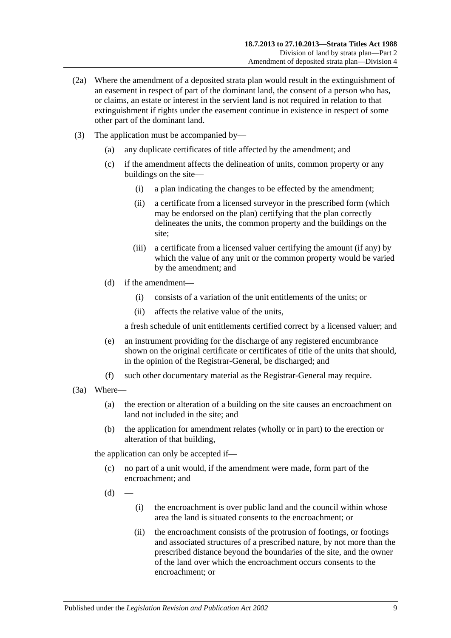- (2a) Where the amendment of a deposited strata plan would result in the extinguishment of an easement in respect of part of the dominant land, the consent of a person who has, or claims, an estate or interest in the servient land is not required in relation to that extinguishment if rights under the easement continue in existence in respect of some other part of the dominant land.
- (3) The application must be accompanied by—
	- (a) any duplicate certificates of title affected by the amendment; and
	- (c) if the amendment affects the delineation of units, common property or any buildings on the site—
		- (i) a plan indicating the changes to be effected by the amendment;
		- (ii) a certificate from a licensed surveyor in the prescribed form (which may be endorsed on the plan) certifying that the plan correctly delineates the units, the common property and the buildings on the site;
		- (iii) a certificate from a licensed valuer certifying the amount (if any) by which the value of any unit or the common property would be varied by the amendment; and
	- (d) if the amendment—
		- (i) consists of a variation of the unit entitlements of the units; or
		- (ii) affects the relative value of the units,

a fresh schedule of unit entitlements certified correct by a licensed valuer; and

- (e) an instrument providing for the discharge of any registered encumbrance shown on the original certificate or certificates of title of the units that should, in the opinion of the Registrar-General, be discharged; and
- (f) such other documentary material as the Registrar-General may require.
- (3a) Where—
	- (a) the erection or alteration of a building on the site causes an encroachment on land not included in the site; and
	- (b) the application for amendment relates (wholly or in part) to the erection or alteration of that building,

the application can only be accepted if—

- (c) no part of a unit would, if the amendment were made, form part of the encroachment; and
- $(d)$
- (i) the encroachment is over public land and the council within whose area the land is situated consents to the encroachment; or
- (ii) the encroachment consists of the protrusion of footings, or footings and associated structures of a prescribed nature, by not more than the prescribed distance beyond the boundaries of the site, and the owner of the land over which the encroachment occurs consents to the encroachment; or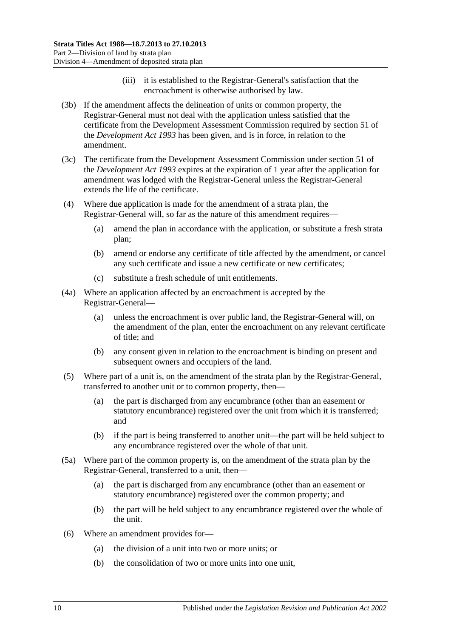- (iii) it is established to the Registrar-General's satisfaction that the encroachment is otherwise authorised by law.
- (3b) If the amendment affects the delineation of units or common property, the Registrar-General must not deal with the application unless satisfied that the certificate from the Development Assessment Commission required by section 51 of the *[Development Act](http://www.legislation.sa.gov.au/index.aspx?action=legref&type=act&legtitle=Development%20Act%201993) 1993* has been given, and is in force, in relation to the amendment.
- (3c) The certificate from the Development Assessment Commission under section 51 of the *[Development Act](http://www.legislation.sa.gov.au/index.aspx?action=legref&type=act&legtitle=Development%20Act%201993) 1993* expires at the expiration of 1 year after the application for amendment was lodged with the Registrar-General unless the Registrar-General extends the life of the certificate.
- (4) Where due application is made for the amendment of a strata plan, the Registrar-General will, so far as the nature of this amendment requires—
	- (a) amend the plan in accordance with the application, or substitute a fresh strata plan;
	- (b) amend or endorse any certificate of title affected by the amendment, or cancel any such certificate and issue a new certificate or new certificates;
	- (c) substitute a fresh schedule of unit entitlements.
- (4a) Where an application affected by an encroachment is accepted by the Registrar-General—
	- (a) unless the encroachment is over public land, the Registrar-General will, on the amendment of the plan, enter the encroachment on any relevant certificate of title; and
	- (b) any consent given in relation to the encroachment is binding on present and subsequent owners and occupiers of the land.
- (5) Where part of a unit is, on the amendment of the strata plan by the Registrar-General, transferred to another unit or to common property, then—
	- (a) the part is discharged from any encumbrance (other than an easement or statutory encumbrance) registered over the unit from which it is transferred; and
	- (b) if the part is being transferred to another unit—the part will be held subject to any encumbrance registered over the whole of that unit.
- (5a) Where part of the common property is, on the amendment of the strata plan by the Registrar-General, transferred to a unit, then—
	- (a) the part is discharged from any encumbrance (other than an easement or statutory encumbrance) registered over the common property; and
	- (b) the part will be held subject to any encumbrance registered over the whole of the unit.
- (6) Where an amendment provides for—
	- (a) the division of a unit into two or more units; or
	- (b) the consolidation of two or more units into one unit,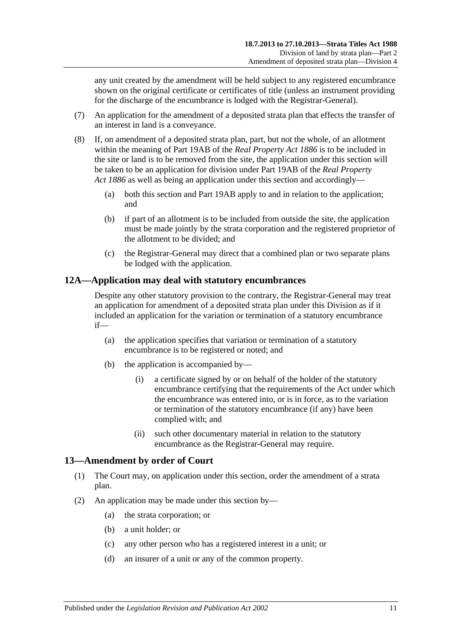any unit created by the amendment will be held subject to any registered encumbrance shown on the original certificate or certificates of title (unless an instrument providing for the discharge of the encumbrance is lodged with the Registrar-General).

- (7) An application for the amendment of a deposited strata plan that effects the transfer of an interest in land is a conveyance.
- (8) If, on amendment of a deposited strata plan, part, but not the whole, of an allotment within the meaning of Part 19AB of the *[Real Property Act](http://www.legislation.sa.gov.au/index.aspx?action=legref&type=act&legtitle=Real%20Property%20Act%201886) 1886* is to be included in the site or land is to be removed from the site, the application under this section will be taken to be an application for division under Part 19AB of the *[Real Property](http://www.legislation.sa.gov.au/index.aspx?action=legref&type=act&legtitle=Real%20Property%20Act%201886)  Act [1886](http://www.legislation.sa.gov.au/index.aspx?action=legref&type=act&legtitle=Real%20Property%20Act%201886)* as well as being an application under this section and accordingly—
	- (a) both this section and Part 19AB apply to and in relation to the application; and
	- (b) if part of an allotment is to be included from outside the site, the application must be made jointly by the strata corporation and the registered proprietor of the allotment to be divided; and
	- (c) the Registrar-General may direct that a combined plan or two separate plans be lodged with the application.

## <span id="page-10-0"></span>**12A—Application may deal with statutory encumbrances**

Despite any other statutory provision to the contrary, the Registrar-General may treat an application for amendment of a deposited strata plan under this Division as if it included an application for the variation or termination of a statutory encumbrance if—

- (a) the application specifies that variation or termination of a statutory encumbrance is to be registered or noted; and
- (b) the application is accompanied by—
	- (i) a certificate signed by or on behalf of the holder of the statutory encumbrance certifying that the requirements of the Act under which the encumbrance was entered into, or is in force, as to the variation or termination of the statutory encumbrance (if any) have been complied with; and
	- (ii) such other documentary material in relation to the statutory encumbrance as the Registrar-General may require.

## <span id="page-10-1"></span>**13—Amendment by order of Court**

- (1) The Court may, on application under this section, order the amendment of a strata plan.
- (2) An application may be made under this section by—
	- (a) the strata corporation; or
	- (b) a unit holder; or
	- (c) any other person who has a registered interest in a unit; or
	- (d) an insurer of a unit or any of the common property.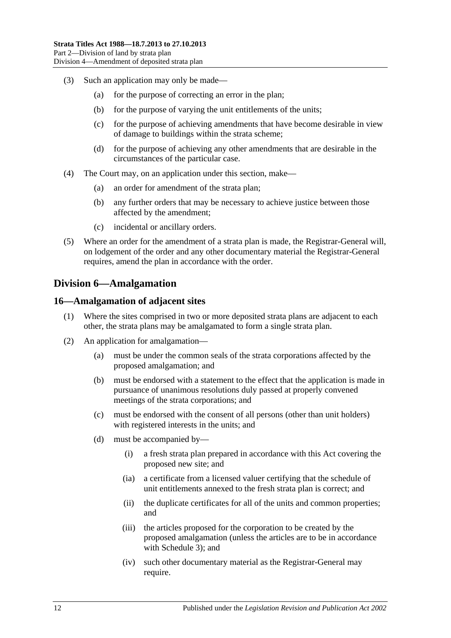- (3) Such an application may only be made—
	- (a) for the purpose of correcting an error in the plan;
	- (b) for the purpose of varying the unit entitlements of the units;
	- (c) for the purpose of achieving amendments that have become desirable in view of damage to buildings within the strata scheme;
	- (d) for the purpose of achieving any other amendments that are desirable in the circumstances of the particular case.
- (4) The Court may, on an application under this section, make—
	- (a) an order for amendment of the strata plan;
	- (b) any further orders that may be necessary to achieve justice between those affected by the amendment;
	- (c) incidental or ancillary orders.
- (5) Where an order for the amendment of a strata plan is made, the Registrar-General will, on lodgement of the order and any other documentary material the Registrar-General requires, amend the plan in accordance with the order.

## <span id="page-11-0"></span>**Division 6—Amalgamation**

### <span id="page-11-1"></span>**16—Amalgamation of adjacent sites**

- (1) Where the sites comprised in two or more deposited strata plans are adjacent to each other, the strata plans may be amalgamated to form a single strata plan.
- (2) An application for amalgamation—
	- (a) must be under the common seals of the strata corporations affected by the proposed amalgamation; and
	- (b) must be endorsed with a statement to the effect that the application is made in pursuance of unanimous resolutions duly passed at properly convened meetings of the strata corporations; and
	- (c) must be endorsed with the consent of all persons (other than unit holders) with registered interests in the units; and
	- (d) must be accompanied by—
		- (i) a fresh strata plan prepared in accordance with this Act covering the proposed new site; and
		- (ia) a certificate from a licensed valuer certifying that the schedule of unit entitlements annexed to the fresh strata plan is correct; and
		- (ii) the duplicate certificates for all of the units and common properties; and
		- (iii) the articles proposed for the corporation to be created by the proposed amalgamation (unless the articles are to be in accordance with [Schedule 3\)](#page-37-6); and
		- (iv) such other documentary material as the Registrar-General may require.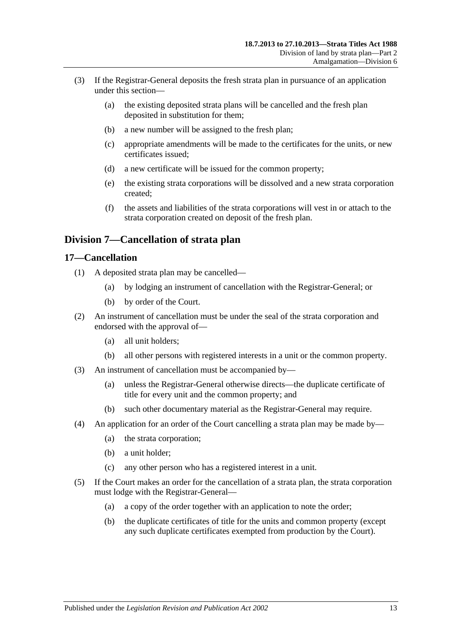- (3) If the Registrar-General deposits the fresh strata plan in pursuance of an application under this section—
	- (a) the existing deposited strata plans will be cancelled and the fresh plan deposited in substitution for them;
	- (b) a new number will be assigned to the fresh plan;
	- (c) appropriate amendments will be made to the certificates for the units, or new certificates issued;
	- (d) a new certificate will be issued for the common property;
	- (e) the existing strata corporations will be dissolved and a new strata corporation created;
	- (f) the assets and liabilities of the strata corporations will vest in or attach to the strata corporation created on deposit of the fresh plan.

## <span id="page-12-0"></span>**Division 7—Cancellation of strata plan**

### <span id="page-12-1"></span>**17—Cancellation**

- (1) A deposited strata plan may be cancelled—
	- (a) by lodging an instrument of cancellation with the Registrar-General; or
	- (b) by order of the Court.
- (2) An instrument of cancellation must be under the seal of the strata corporation and endorsed with the approval of—
	- (a) all unit holders;
	- (b) all other persons with registered interests in a unit or the common property.
- (3) An instrument of cancellation must be accompanied by—
	- (a) unless the Registrar-General otherwise directs—the duplicate certificate of title for every unit and the common property; and
	- (b) such other documentary material as the Registrar-General may require.
- (4) An application for an order of the Court cancelling a strata plan may be made by—
	- (a) the strata corporation;
	- (b) a unit holder;
	- (c) any other person who has a registered interest in a unit.
- (5) If the Court makes an order for the cancellation of a strata plan, the strata corporation must lodge with the Registrar-General—
	- (a) a copy of the order together with an application to note the order;
	- (b) the duplicate certificates of title for the units and common property (except any such duplicate certificates exempted from production by the Court).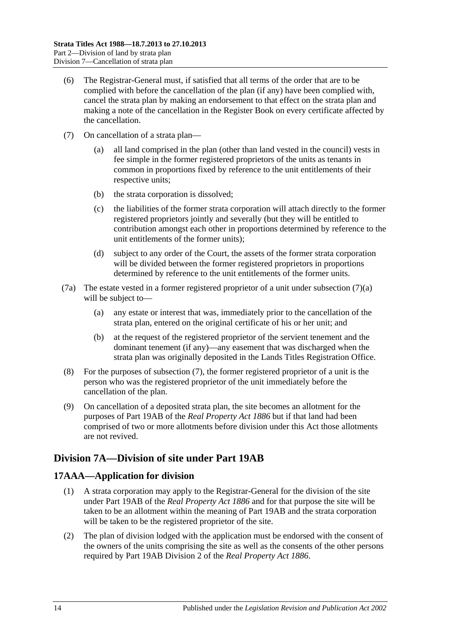- (6) The Registrar-General must, if satisfied that all terms of the order that are to be complied with before the cancellation of the plan (if any) have been complied with, cancel the strata plan by making an endorsement to that effect on the strata plan and making a note of the cancellation in the Register Book on every certificate affected by the cancellation.
- <span id="page-13-3"></span><span id="page-13-2"></span>(7) On cancellation of a strata plan—
	- (a) all land comprised in the plan (other than land vested in the council) vests in fee simple in the former registered proprietors of the units as tenants in common in proportions fixed by reference to the unit entitlements of their respective units;
	- (b) the strata corporation is dissolved;
	- (c) the liabilities of the former strata corporation will attach directly to the former registered proprietors jointly and severally (but they will be entitled to contribution amongst each other in proportions determined by reference to the unit entitlements of the former units);
	- (d) subject to any order of the Court, the assets of the former strata corporation will be divided between the former registered proprietors in proportions determined by reference to the unit entitlements of the former units.
- (7a) The estate vested in a former registered proprietor of a unit under [subsection](#page-13-2) (7)(a) will be subject to—
	- (a) any estate or interest that was, immediately prior to the cancellation of the strata plan, entered on the original certificate of his or her unit; and
	- (b) at the request of the registered proprietor of the servient tenement and the dominant tenement (if any)—any easement that was discharged when the strata plan was originally deposited in the Lands Titles Registration Office.
- (8) For the purposes of [subsection](#page-13-3) (7), the former registered proprietor of a unit is the person who was the registered proprietor of the unit immediately before the cancellation of the plan.
- (9) On cancellation of a deposited strata plan, the site becomes an allotment for the purposes of Part 19AB of the *[Real Property Act](http://www.legislation.sa.gov.au/index.aspx?action=legref&type=act&legtitle=Real%20Property%20Act%201886) 1886* but if that land had been comprised of two or more allotments before division under this Act those allotments are not revived.

## <span id="page-13-0"></span>**Division 7A—Division of site under Part 19AB**

## <span id="page-13-1"></span>**17AAA—Application for division**

- (1) A strata corporation may apply to the Registrar-General for the division of the site under Part 19AB of the *[Real Property Act](http://www.legislation.sa.gov.au/index.aspx?action=legref&type=act&legtitle=Real%20Property%20Act%201886) 1886* and for that purpose the site will be taken to be an allotment within the meaning of Part 19AB and the strata corporation will be taken to be the registered proprietor of the site.
- (2) The plan of division lodged with the application must be endorsed with the consent of the owners of the units comprising the site as well as the consents of the other persons required by Part 19AB Division 2 of the *[Real Property Act](http://www.legislation.sa.gov.au/index.aspx?action=legref&type=act&legtitle=Real%20Property%20Act%201886) 1886*.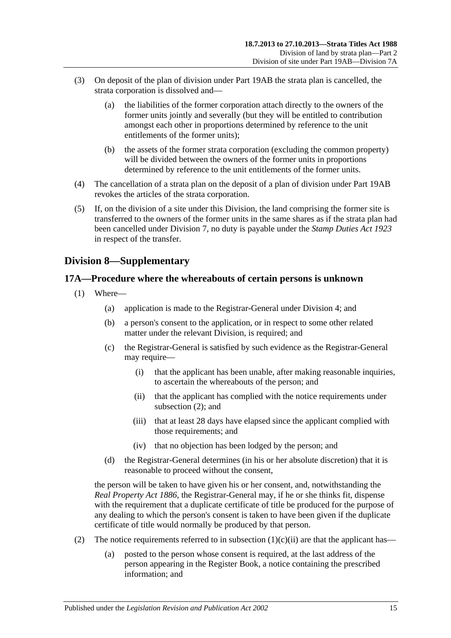- (3) On deposit of the plan of division under Part 19AB the strata plan is cancelled, the strata corporation is dissolved and—
	- (a) the liabilities of the former corporation attach directly to the owners of the former units jointly and severally (but they will be entitled to contribution amongst each other in proportions determined by reference to the unit entitlements of the former units);
	- (b) the assets of the former strata corporation (excluding the common property) will be divided between the owners of the former units in proportions determined by reference to the unit entitlements of the former units.
- (4) The cancellation of a strata plan on the deposit of a plan of division under Part 19AB revokes the articles of the strata corporation.
- (5) If, on the division of a site under this Division, the land comprising the former site is transferred to the owners of the former units in the same shares as if the strata plan had been cancelled under [Division 7,](#page-12-0) no duty is payable under the *[Stamp Duties Act](http://www.legislation.sa.gov.au/index.aspx?action=legref&type=act&legtitle=Stamp%20Duties%20Act%201923) 1923* in respect of the transfer.

## <span id="page-14-0"></span>**Division 8—Supplementary**

## <span id="page-14-1"></span>**17A—Procedure where the whereabouts of certain persons is unknown**

- <span id="page-14-3"></span>(1) Where—
	- (a) application is made to the Registrar-General under [Division 4;](#page-7-4) and
	- (b) a person's consent to the application, or in respect to some other related matter under the relevant Division, is required; and
	- (c) the Registrar-General is satisfied by such evidence as the Registrar-General may require—
		- (i) that the applicant has been unable, after making reasonable inquiries, to ascertain the whereabouts of the person; and
		- (ii) that the applicant has complied with the notice requirements under [subsection](#page-14-2) (2); and
		- (iii) that at least 28 days have elapsed since the applicant complied with those requirements; and
		- (iv) that no objection has been lodged by the person; and
	- (d) the Registrar-General determines (in his or her absolute discretion) that it is reasonable to proceed without the consent,

the person will be taken to have given his or her consent, and, notwithstanding the *[Real Property Act](http://www.legislation.sa.gov.au/index.aspx?action=legref&type=act&legtitle=Real%20Property%20Act%201886) 1886*, the Registrar-General may, if he or she thinks fit, dispense with the requirement that a duplicate certificate of title be produced for the purpose of any dealing to which the person's consent is taken to have been given if the duplicate certificate of title would normally be produced by that person.

- <span id="page-14-2"></span>(2) The notice requirements referred to in [subsection](#page-14-3)  $(1)(c)(ii)$  are that the applicant has—
	- (a) posted to the person whose consent is required, at the last address of the person appearing in the Register Book, a notice containing the prescribed information; and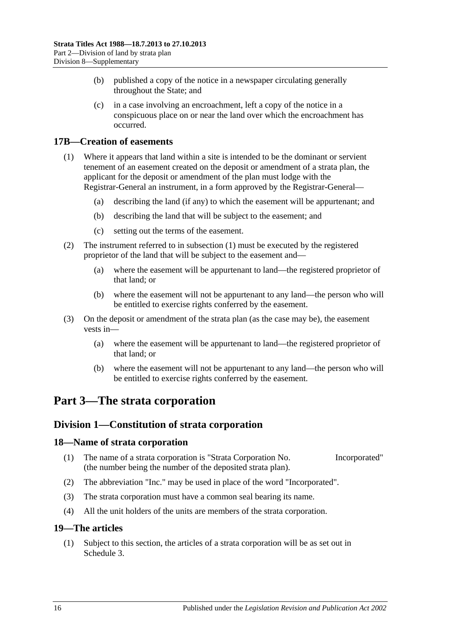- (b) published a copy of the notice in a newspaper circulating generally throughout the State; and
- (c) in a case involving an encroachment, left a copy of the notice in a conspicuous place on or near the land over which the encroachment has occurred.

## <span id="page-15-5"></span><span id="page-15-0"></span>**17B—Creation of easements**

- (1) Where it appears that land within a site is intended to be the dominant or servient tenement of an easement created on the deposit or amendment of a strata plan, the applicant for the deposit or amendment of the plan must lodge with the Registrar-General an instrument, in a form approved by the Registrar-General—
	- (a) describing the land (if any) to which the easement will be appurtenant; and
	- (b) describing the land that will be subject to the easement; and
	- (c) setting out the terms of the easement.
- (2) The instrument referred to in [subsection](#page-15-5) (1) must be executed by the registered proprietor of the land that will be subject to the easement and—
	- (a) where the easement will be appurtenant to land—the registered proprietor of that land; or
	- (b) where the easement will not be appurtenant to any land—the person who will be entitled to exercise rights conferred by the easement.
- (3) On the deposit or amendment of the strata plan (as the case may be), the easement vests in—
	- (a) where the easement will be appurtenant to land—the registered proprietor of that land; or
	- (b) where the easement will not be appurtenant to any land—the person who will be entitled to exercise rights conferred by the easement.

## <span id="page-15-2"></span><span id="page-15-1"></span>**Part 3—The strata corporation**

## **Division 1—Constitution of strata corporation**

### <span id="page-15-3"></span>**18—Name of strata corporation**

- (1) The name of a strata corporation is "Strata Corporation No. Incorporated" (the number being the number of the deposited strata plan).
- (2) The abbreviation "Inc." may be used in place of the word "Incorporated".
- (3) The strata corporation must have a common seal bearing its name.
- (4) All the unit holders of the units are members of the strata corporation.

### <span id="page-15-4"></span>**19—The articles**

(1) Subject to this section, the articles of a strata corporation will be as set out in [Schedule](#page-37-6) 3.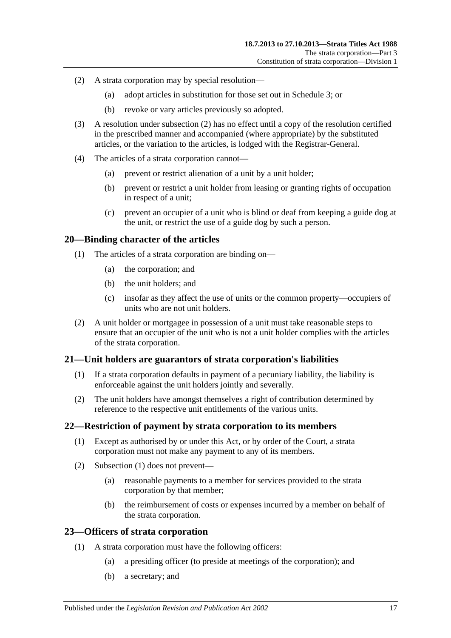- <span id="page-16-4"></span>(2) A strata corporation may by special resolution—
	- (a) adopt articles in substitution for those set out in [Schedule](#page-37-6) 3; or
	- (b) revoke or vary articles previously so adopted.
- (3) A resolution under [subsection](#page-16-4) (2) has no effect until a copy of the resolution certified in the prescribed manner and accompanied (where appropriate) by the substituted articles, or the variation to the articles, is lodged with the Registrar-General.
- (4) The articles of a strata corporation cannot—
	- (a) prevent or restrict alienation of a unit by a unit holder;
	- (b) prevent or restrict a unit holder from leasing or granting rights of occupation in respect of a unit;
	- (c) prevent an occupier of a unit who is blind or deaf from keeping a guide dog at the unit, or restrict the use of a guide dog by such a person.

### <span id="page-16-0"></span>**20—Binding character of the articles**

- (1) The articles of a strata corporation are binding on—
	- (a) the corporation; and
	- (b) the unit holders; and
	- (c) insofar as they affect the use of units or the common property—occupiers of units who are not unit holders.
- (2) A unit holder or mortgagee in possession of a unit must take reasonable steps to ensure that an occupier of the unit who is not a unit holder complies with the articles of the strata corporation.

### <span id="page-16-1"></span>**21—Unit holders are guarantors of strata corporation's liabilities**

- (1) If a strata corporation defaults in payment of a pecuniary liability, the liability is enforceable against the unit holders jointly and severally.
- (2) The unit holders have amongst themselves a right of contribution determined by reference to the respective unit entitlements of the various units.

### <span id="page-16-5"></span><span id="page-16-2"></span>**22—Restriction of payment by strata corporation to its members**

- (1) Except as authorised by or under this Act, or by order of the Court, a strata corporation must not make any payment to any of its members.
- (2) [Subsection](#page-16-5) (1) does not prevent—
	- (a) reasonable payments to a member for services provided to the strata corporation by that member;
	- (b) the reimbursement of costs or expenses incurred by a member on behalf of the strata corporation.

### <span id="page-16-3"></span>**23—Officers of strata corporation**

- (1) A strata corporation must have the following officers:
	- (a) a presiding officer (to preside at meetings of the corporation); and
	- (b) a secretary; and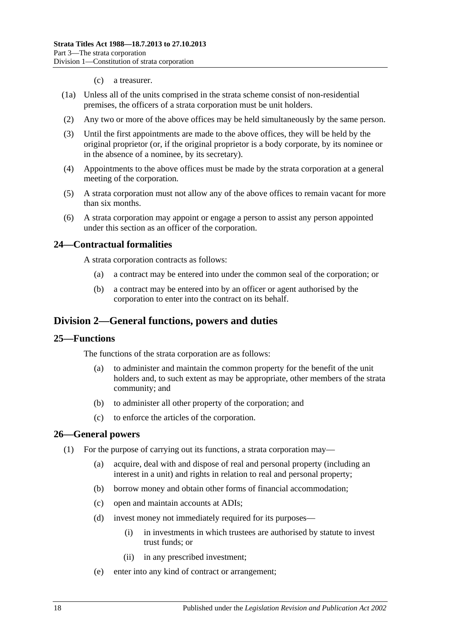#### (c) a treasurer.

- (1a) Unless all of the units comprised in the strata scheme consist of non-residential premises, the officers of a strata corporation must be unit holders.
- (2) Any two or more of the above offices may be held simultaneously by the same person.
- (3) Until the first appointments are made to the above offices, they will be held by the original proprietor (or, if the original proprietor is a body corporate, by its nominee or in the absence of a nominee, by its secretary).
- (4) Appointments to the above offices must be made by the strata corporation at a general meeting of the corporation.
- (5) A strata corporation must not allow any of the above offices to remain vacant for more than six months.
- (6) A strata corporation may appoint or engage a person to assist any person appointed under this section as an officer of the corporation.

#### <span id="page-17-0"></span>**24—Contractual formalities**

A strata corporation contracts as follows:

- (a) a contract may be entered into under the common seal of the corporation; or
- (b) a contract may be entered into by an officer or agent authorised by the corporation to enter into the contract on its behalf.

## <span id="page-17-1"></span>**Division 2—General functions, powers and duties**

#### <span id="page-17-2"></span>**25—Functions**

The functions of the strata corporation are as follows:

- (a) to administer and maintain the common property for the benefit of the unit holders and, to such extent as may be appropriate, other members of the strata community; and
- (b) to administer all other property of the corporation; and
- (c) to enforce the articles of the corporation.

#### <span id="page-17-3"></span>**26—General powers**

- (1) For the purpose of carrying out its functions, a strata corporation may—
	- (a) acquire, deal with and dispose of real and personal property (including an interest in a unit) and rights in relation to real and personal property;
	- (b) borrow money and obtain other forms of financial accommodation;
	- (c) open and maintain accounts at ADIs;
	- (d) invest money not immediately required for its purposes—
		- (i) in investments in which trustees are authorised by statute to invest trust funds; or
		- (ii) in any prescribed investment;
	- (e) enter into any kind of contract or arrangement;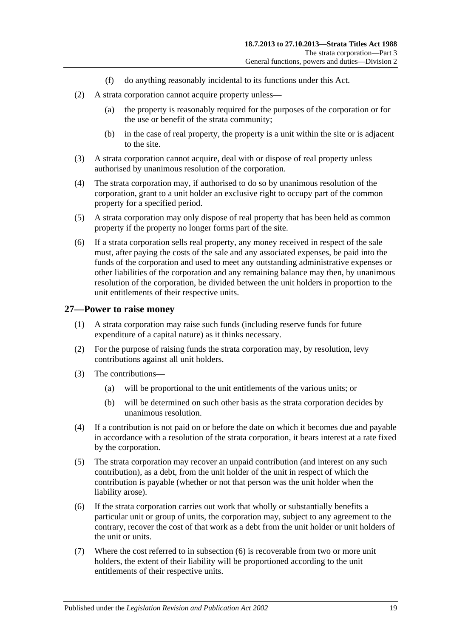- (f) do anything reasonably incidental to its functions under this Act.
- (2) A strata corporation cannot acquire property unless—
	- (a) the property is reasonably required for the purposes of the corporation or for the use or benefit of the strata community;
	- (b) in the case of real property, the property is a unit within the site or is adjacent to the site.
- (3) A strata corporation cannot acquire, deal with or dispose of real property unless authorised by unanimous resolution of the corporation.
- (4) The strata corporation may, if authorised to do so by unanimous resolution of the corporation, grant to a unit holder an exclusive right to occupy part of the common property for a specified period.
- (5) A strata corporation may only dispose of real property that has been held as common property if the property no longer forms part of the site.
- (6) If a strata corporation sells real property, any money received in respect of the sale must, after paying the costs of the sale and any associated expenses, be paid into the funds of the corporation and used to meet any outstanding administrative expenses or other liabilities of the corporation and any remaining balance may then, by unanimous resolution of the corporation, be divided between the unit holders in proportion to the unit entitlements of their respective units.

#### <span id="page-18-0"></span>**27—Power to raise money**

- (1) A strata corporation may raise such funds (including reserve funds for future expenditure of a capital nature) as it thinks necessary.
- (2) For the purpose of raising funds the strata corporation may, by resolution, levy contributions against all unit holders.
- (3) The contributions—
	- (a) will be proportional to the unit entitlements of the various units; or
	- (b) will be determined on such other basis as the strata corporation decides by unanimous resolution.
- (4) If a contribution is not paid on or before the date on which it becomes due and payable in accordance with a resolution of the strata corporation, it bears interest at a rate fixed by the corporation.
- (5) The strata corporation may recover an unpaid contribution (and interest on any such contribution), as a debt, from the unit holder of the unit in respect of which the contribution is payable (whether or not that person was the unit holder when the liability arose).
- <span id="page-18-1"></span>(6) If the strata corporation carries out work that wholly or substantially benefits a particular unit or group of units, the corporation may, subject to any agreement to the contrary, recover the cost of that work as a debt from the unit holder or unit holders of the unit or units.
- (7) Where the cost referred to in [subsection](#page-18-1) (6) is recoverable from two or more unit holders, the extent of their liability will be proportioned according to the unit entitlements of their respective units.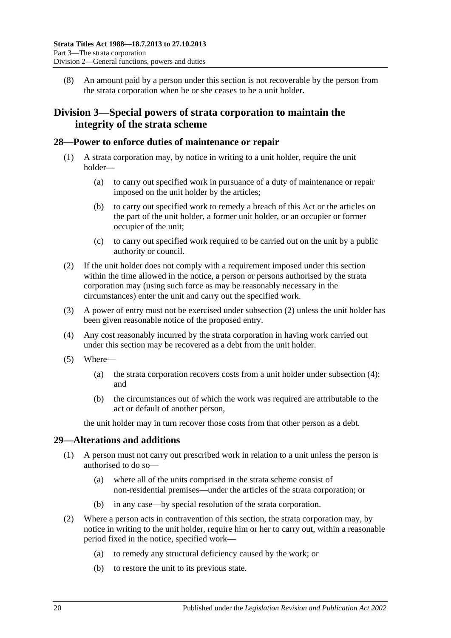(8) An amount paid by a person under this section is not recoverable by the person from the strata corporation when he or she ceases to be a unit holder.

## <span id="page-19-0"></span>**Division 3—Special powers of strata corporation to maintain the integrity of the strata scheme**

### <span id="page-19-1"></span>**28—Power to enforce duties of maintenance or repair**

- (1) A strata corporation may, by notice in writing to a unit holder, require the unit holder—
	- (a) to carry out specified work in pursuance of a duty of maintenance or repair imposed on the unit holder by the articles;
	- (b) to carry out specified work to remedy a breach of this Act or the articles on the part of the unit holder, a former unit holder, or an occupier or former occupier of the unit;
	- (c) to carry out specified work required to be carried out on the unit by a public authority or council.
- <span id="page-19-3"></span>(2) If the unit holder does not comply with a requirement imposed under this section within the time allowed in the notice, a person or persons authorised by the strata corporation may (using such force as may be reasonably necessary in the circumstances) enter the unit and carry out the specified work.
- (3) A power of entry must not be exercised under [subsection](#page-19-3) (2) unless the unit holder has been given reasonable notice of the proposed entry.
- <span id="page-19-4"></span>(4) Any cost reasonably incurred by the strata corporation in having work carried out under this section may be recovered as a debt from the unit holder.
- (5) Where—
	- (a) the strata corporation recovers costs from a unit holder under [subsection](#page-19-4) (4); and
	- (b) the circumstances out of which the work was required are attributable to the act or default of another person,

the unit holder may in turn recover those costs from that other person as a debt.

## <span id="page-19-2"></span>**29—Alterations and additions**

- (1) A person must not carry out prescribed work in relation to a unit unless the person is authorised to do so—
	- (a) where all of the units comprised in the strata scheme consist of non-residential premises—under the articles of the strata corporation; or
	- (b) in any case—by special resolution of the strata corporation.
- (2) Where a person acts in contravention of this section, the strata corporation may, by notice in writing to the unit holder, require him or her to carry out, within a reasonable period fixed in the notice, specified work—
	- (a) to remedy any structural deficiency caused by the work; or
	- (b) to restore the unit to its previous state.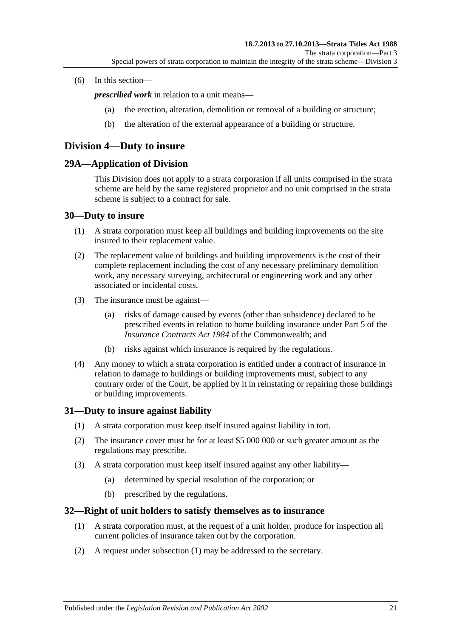#### (6) In this section—

*prescribed work* in relation to a unit means—

- (a) the erection, alteration, demolition or removal of a building or structure;
- (b) the alteration of the external appearance of a building or structure.

## <span id="page-20-0"></span>**Division 4—Duty to insure**

### <span id="page-20-1"></span>**29A—Application of Division**

This Division does not apply to a strata corporation if all units comprised in the strata scheme are held by the same registered proprietor and no unit comprised in the strata scheme is subject to a contract for sale.

#### <span id="page-20-2"></span>**30—Duty to insure**

- (1) A strata corporation must keep all buildings and building improvements on the site insured to their replacement value.
- (2) The replacement value of buildings and building improvements is the cost of their complete replacement including the cost of any necessary preliminary demolition work, any necessary surveying, architectural or engineering work and any other associated or incidental costs.
- (3) The insurance must be against—
	- (a) risks of damage caused by events (other than subsidence) declared to be prescribed events in relation to home building insurance under Part 5 of the *Insurance Contracts Act 1984* of the Commonwealth; and
	- (b) risks against which insurance is required by the regulations.
- (4) Any money to which a strata corporation is entitled under a contract of insurance in relation to damage to buildings or building improvements must, subject to any contrary order of the Court, be applied by it in reinstating or repairing those buildings or building improvements.

### <span id="page-20-3"></span>**31—Duty to insure against liability**

- (1) A strata corporation must keep itself insured against liability in tort.
- (2) The insurance cover must be for at least \$5 000 000 or such greater amount as the regulations may prescribe.
- (3) A strata corporation must keep itself insured against any other liability—
	- (a) determined by special resolution of the corporation; or
	- (b) prescribed by the regulations.

### <span id="page-20-5"></span><span id="page-20-4"></span>**32—Right of unit holders to satisfy themselves as to insurance**

- (1) A strata corporation must, at the request of a unit holder, produce for inspection all current policies of insurance taken out by the corporation.
- (2) A request under [subsection](#page-20-5) (1) may be addressed to the secretary.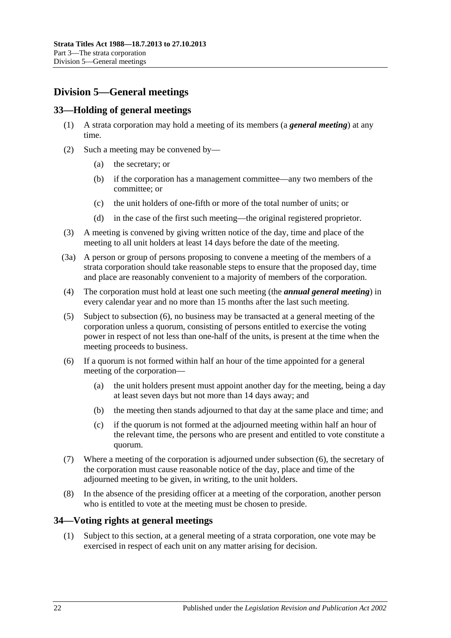## <span id="page-21-0"></span>**Division 5—General meetings**

## <span id="page-21-1"></span>**33—Holding of general meetings**

- (1) A strata corporation may hold a meeting of its members (a *general meeting*) at any time.
- (2) Such a meeting may be convened by—
	- (a) the secretary; or
	- (b) if the corporation has a management committee—any two members of the committee; or
	- (c) the unit holders of one-fifth or more of the total number of units; or
	- (d) in the case of the first such meeting—the original registered proprietor.
- (3) A meeting is convened by giving written notice of the day, time and place of the meeting to all unit holders at least 14 days before the date of the meeting.
- (3a) A person or group of persons proposing to convene a meeting of the members of a strata corporation should take reasonable steps to ensure that the proposed day, time and place are reasonably convenient to a majority of members of the corporation.
- (4) The corporation must hold at least one such meeting (the *annual general meeting*) in every calendar year and no more than 15 months after the last such meeting.
- (5) Subject to [subsection](#page-21-3) (6), no business may be transacted at a general meeting of the corporation unless a quorum, consisting of persons entitled to exercise the voting power in respect of not less than one-half of the units, is present at the time when the meeting proceeds to business.
- <span id="page-21-3"></span>(6) If a quorum is not formed within half an hour of the time appointed for a general meeting of the corporation—
	- (a) the unit holders present must appoint another day for the meeting, being a day at least seven days but not more than 14 days away; and
	- (b) the meeting then stands adjourned to that day at the same place and time; and
	- (c) if the quorum is not formed at the adjourned meeting within half an hour of the relevant time, the persons who are present and entitled to vote constitute a quorum.
- (7) Where a meeting of the corporation is adjourned under [subsection](#page-21-3) (6), the secretary of the corporation must cause reasonable notice of the day, place and time of the adjourned meeting to be given, in writing, to the unit holders.
- (8) In the absence of the presiding officer at a meeting of the corporation, another person who is entitled to vote at the meeting must be chosen to preside.

## <span id="page-21-2"></span>**34—Voting rights at general meetings**

(1) Subject to this section, at a general meeting of a strata corporation, one vote may be exercised in respect of each unit on any matter arising for decision.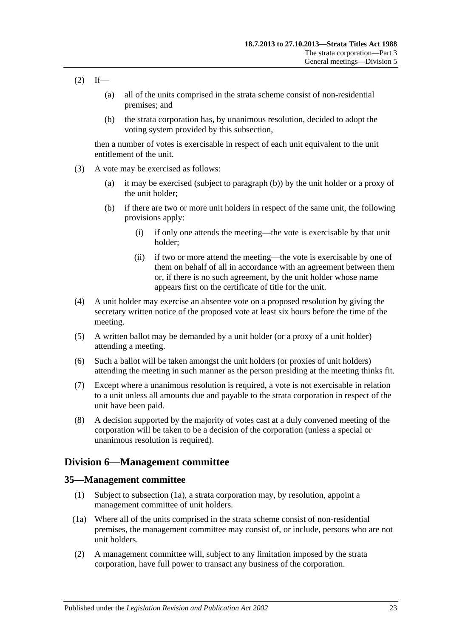- $(2)$  If—
	- (a) all of the units comprised in the strata scheme consist of non-residential premises; and
	- (b) the strata corporation has, by unanimous resolution, decided to adopt the voting system provided by this subsection,

then a number of votes is exercisable in respect of each unit equivalent to the unit entitlement of the unit.

- <span id="page-22-2"></span>(3) A vote may be exercised as follows:
	- (a) it may be exercised (subject to [paragraph](#page-22-2) (b)) by the unit holder or a proxy of the unit holder;
	- (b) if there are two or more unit holders in respect of the same unit, the following provisions apply:
		- (i) if only one attends the meeting—the vote is exercisable by that unit holder;
		- (ii) if two or more attend the meeting—the vote is exercisable by one of them on behalf of all in accordance with an agreement between them or, if there is no such agreement, by the unit holder whose name appears first on the certificate of title for the unit.
- (4) A unit holder may exercise an absentee vote on a proposed resolution by giving the secretary written notice of the proposed vote at least six hours before the time of the meeting.
- (5) A written ballot may be demanded by a unit holder (or a proxy of a unit holder) attending a meeting.
- (6) Such a ballot will be taken amongst the unit holders (or proxies of unit holders) attending the meeting in such manner as the person presiding at the meeting thinks fit.
- (7) Except where a unanimous resolution is required, a vote is not exercisable in relation to a unit unless all amounts due and payable to the strata corporation in respect of the unit have been paid.
- (8) A decision supported by the majority of votes cast at a duly convened meeting of the corporation will be taken to be a decision of the corporation (unless a special or unanimous resolution is required).

## <span id="page-22-0"></span>**Division 6—Management committee**

### <span id="page-22-1"></span>**35—Management committee**

- (1) Subject to [subsection](#page-22-3) (1a), a strata corporation may, by resolution, appoint a management committee of unit holders.
- <span id="page-22-3"></span>(1a) Where all of the units comprised in the strata scheme consist of non-residential premises, the management committee may consist of, or include, persons who are not unit holders.
- (2) A management committee will, subject to any limitation imposed by the strata corporation, have full power to transact any business of the corporation.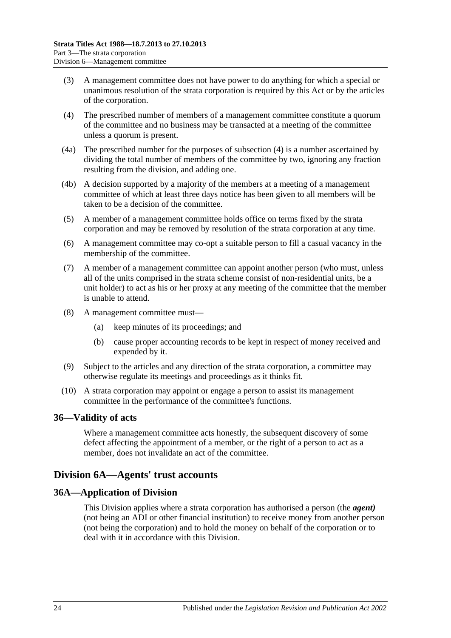- (3) A management committee does not have power to do anything for which a special or unanimous resolution of the strata corporation is required by this Act or by the articles of the corporation.
- <span id="page-23-3"></span>(4) The prescribed number of members of a management committee constitute a quorum of the committee and no business may be transacted at a meeting of the committee unless a quorum is present.
- (4a) The prescribed number for the purposes of [subsection](#page-23-3) (4) is a number ascertained by dividing the total number of members of the committee by two, ignoring any fraction resulting from the division, and adding one.
- (4b) A decision supported by a majority of the members at a meeting of a management committee of which at least three days notice has been given to all members will be taken to be a decision of the committee.
- (5) A member of a management committee holds office on terms fixed by the strata corporation and may be removed by resolution of the strata corporation at any time.
- (6) A management committee may co-opt a suitable person to fill a casual vacancy in the membership of the committee.
- (7) A member of a management committee can appoint another person (who must, unless all of the units comprised in the strata scheme consist of non-residential units, be a unit holder) to act as his or her proxy at any meeting of the committee that the member is unable to attend.
- (8) A management committee must—
	- (a) keep minutes of its proceedings; and
	- (b) cause proper accounting records to be kept in respect of money received and expended by it.
- (9) Subject to the articles and any direction of the strata corporation, a committee may otherwise regulate its meetings and proceedings as it thinks fit.
- (10) A strata corporation may appoint or engage a person to assist its management committee in the performance of the committee's functions.

## <span id="page-23-0"></span>**36—Validity of acts**

Where a management committee acts honestly, the subsequent discovery of some defect affecting the appointment of a member, or the right of a person to act as a member, does not invalidate an act of the committee.

## <span id="page-23-1"></span>**Division 6A—Agents' trust accounts**

## <span id="page-23-2"></span>**36A—Application of Division**

This Division applies where a strata corporation has authorised a person (the *agent)* (not being an ADI or other financial institution) to receive money from another person (not being the corporation) and to hold the money on behalf of the corporation or to deal with it in accordance with this Division.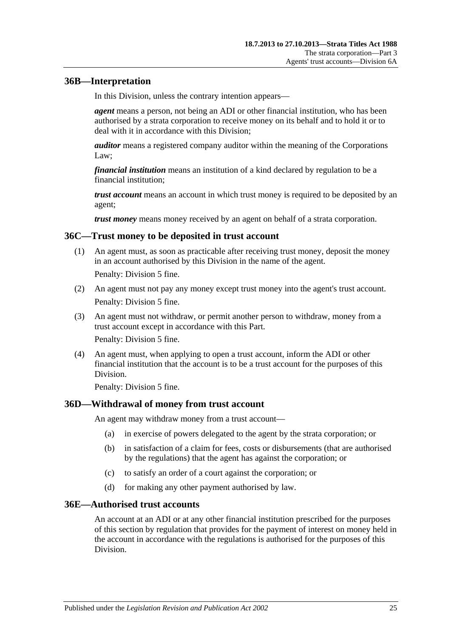## <span id="page-24-0"></span>**36B—Interpretation**

In this Division, unless the contrary intention appears—

*agent* means a person, not being an ADI or other financial institution, who has been authorised by a strata corporation to receive money on its behalf and to hold it or to deal with it in accordance with this Division;

*auditor* means a registered company auditor within the meaning of the Corporations Law;

*financial institution* means an institution of a kind declared by regulation to be a financial institution;

*trust account* means an account in which trust money is required to be deposited by an agent;

*trust money* means money received by an agent on behalf of a strata corporation.

### <span id="page-24-1"></span>**36C—Trust money to be deposited in trust account**

(1) An agent must, as soon as practicable after receiving trust money, deposit the money in an account authorised by this Division in the name of the agent.

Penalty: Division 5 fine.

- (2) An agent must not pay any money except trust money into the agent's trust account. Penalty: Division 5 fine.
- (3) An agent must not withdraw, or permit another person to withdraw, money from a trust account except in accordance with this Part. Penalty: Division 5 fine.
- (4) An agent must, when applying to open a trust account, inform the ADI or other financial institution that the account is to be a trust account for the purposes of this Division.

Penalty: Division 5 fine.

## <span id="page-24-2"></span>**36D—Withdrawal of money from trust account**

An agent may withdraw money from a trust account—

- (a) in exercise of powers delegated to the agent by the strata corporation; or
- (b) in satisfaction of a claim for fees, costs or disbursements (that are authorised by the regulations) that the agent has against the corporation; or
- (c) to satisfy an order of a court against the corporation; or
- (d) for making any other payment authorised by law.

### <span id="page-24-3"></span>**36E—Authorised trust accounts**

An account at an ADI or at any other financial institution prescribed for the purposes of this section by regulation that provides for the payment of interest on money held in the account in accordance with the regulations is authorised for the purposes of this Division.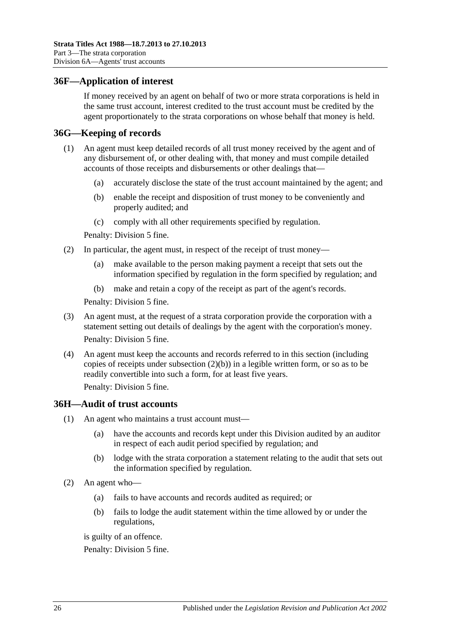### <span id="page-25-0"></span>**36F—Application of interest**

If money received by an agent on behalf of two or more strata corporations is held in the same trust account, interest credited to the trust account must be credited by the agent proportionately to the strata corporations on whose behalf that money is held.

### <span id="page-25-1"></span>**36G—Keeping of records**

- (1) An agent must keep detailed records of all trust money received by the agent and of any disbursement of, or other dealing with, that money and must compile detailed accounts of those receipts and disbursements or other dealings that—
	- (a) accurately disclose the state of the trust account maintained by the agent; and
	- (b) enable the receipt and disposition of trust money to be conveniently and properly audited; and
	- (c) comply with all other requirements specified by regulation.

Penalty: Division 5 fine.

- <span id="page-25-3"></span>(2) In particular, the agent must, in respect of the receipt of trust money—
	- (a) make available to the person making payment a receipt that sets out the information specified by regulation in the form specified by regulation; and
	- (b) make and retain a copy of the receipt as part of the agent's records.

Penalty: Division 5 fine.

- (3) An agent must, at the request of a strata corporation provide the corporation with a statement setting out details of dealings by the agent with the corporation's money. Penalty: Division 5 fine.
- (4) An agent must keep the accounts and records referred to in this section (including copies of receipts under [subsection](#page-25-3) (2)(b)) in a legible written form, or so as to be readily convertible into such a form, for at least five years.

Penalty: Division 5 fine.

### <span id="page-25-2"></span>**36H—Audit of trust accounts**

- (1) An agent who maintains a trust account must—
	- (a) have the accounts and records kept under this Division audited by an auditor in respect of each audit period specified by regulation; and
	- (b) lodge with the strata corporation a statement relating to the audit that sets out the information specified by regulation.
- (2) An agent who—
	- (a) fails to have accounts and records audited as required; or
	- (b) fails to lodge the audit statement within the time allowed by or under the regulations,

is guilty of an offence.

Penalty: Division 5 fine.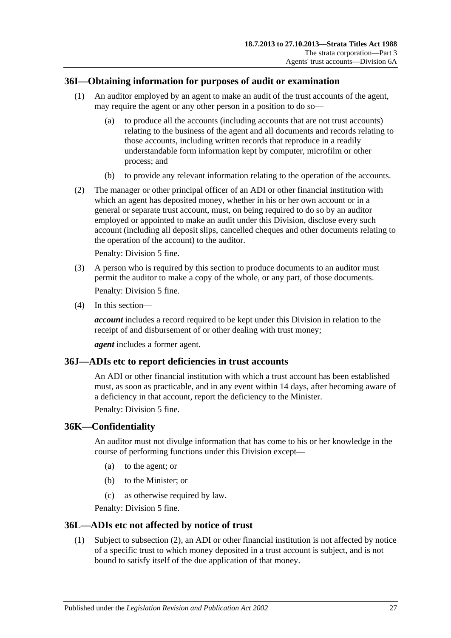## <span id="page-26-0"></span>**36I—Obtaining information for purposes of audit or examination**

- (1) An auditor employed by an agent to make an audit of the trust accounts of the agent, may require the agent or any other person in a position to do so—
	- (a) to produce all the accounts (including accounts that are not trust accounts) relating to the business of the agent and all documents and records relating to those accounts, including written records that reproduce in a readily understandable form information kept by computer, microfilm or other process; and
	- (b) to provide any relevant information relating to the operation of the accounts.
- (2) The manager or other principal officer of an ADI or other financial institution with which an agent has deposited money, whether in his or her own account or in a general or separate trust account, must, on being required to do so by an auditor employed or appointed to make an audit under this Division, disclose every such account (including all deposit slips, cancelled cheques and other documents relating to the operation of the account) to the auditor.

Penalty: Division 5 fine.

- (3) A person who is required by this section to produce documents to an auditor must permit the auditor to make a copy of the whole, or any part, of those documents. Penalty: Division 5 fine.
- (4) In this section—

*account* includes a record required to be kept under this Division in relation to the receipt of and disbursement of or other dealing with trust money;

*agent* includes a former agent.

### <span id="page-26-1"></span>**36J—ADIs etc to report deficiencies in trust accounts**

An ADI or other financial institution with which a trust account has been established must, as soon as practicable, and in any event within 14 days, after becoming aware of a deficiency in that account, report the deficiency to the Minister.

Penalty: Division 5 fine.

### <span id="page-26-2"></span>**36K—Confidentiality**

An auditor must not divulge information that has come to his or her knowledge in the course of performing functions under this Division except—

- (a) to the agent; or
- (b) to the Minister; or
- (c) as otherwise required by law.

Penalty: Division 5 fine.

### <span id="page-26-3"></span>**36L—ADIs etc not affected by notice of trust**

(1) Subject to [subsection](#page-27-4) (2), an ADI or other financial institution is not affected by notice of a specific trust to which money deposited in a trust account is subject, and is not bound to satisfy itself of the due application of that money.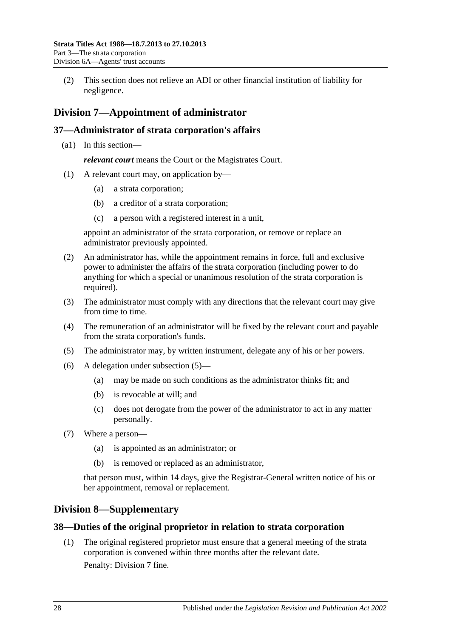<span id="page-27-4"></span>(2) This section does not relieve an ADI or other financial institution of liability for negligence.

## <span id="page-27-0"></span>**Division 7—Appointment of administrator**

## <span id="page-27-1"></span>**37—Administrator of strata corporation's affairs**

(a1) In this section—

*relevant court* means the Court or the Magistrates Court.

- (1) A relevant court may, on application by—
	- (a) a strata corporation;
	- (b) a creditor of a strata corporation;
	- (c) a person with a registered interest in a unit,

appoint an administrator of the strata corporation, or remove or replace an administrator previously appointed.

- (2) An administrator has, while the appointment remains in force, full and exclusive power to administer the affairs of the strata corporation (including power to do anything for which a special or unanimous resolution of the strata corporation is required).
- (3) The administrator must comply with any directions that the relevant court may give from time to time.
- (4) The remuneration of an administrator will be fixed by the relevant court and payable from the strata corporation's funds.
- <span id="page-27-5"></span>(5) The administrator may, by written instrument, delegate any of his or her powers.
- (6) A delegation under [subsection](#page-27-5) (5)—
	- (a) may be made on such conditions as the administrator thinks fit; and
	- (b) is revocable at will; and
	- (c) does not derogate from the power of the administrator to act in any matter personally.
- (7) Where a person—
	- (a) is appointed as an administrator; or
	- (b) is removed or replaced as an administrator,

that person must, within 14 days, give the Registrar-General written notice of his or her appointment, removal or replacement.

## <span id="page-27-2"></span>**Division 8—Supplementary**

## <span id="page-27-3"></span>**38—Duties of the original proprietor in relation to strata corporation**

(1) The original registered proprietor must ensure that a general meeting of the strata corporation is convened within three months after the relevant date.

Penalty: Division 7 fine.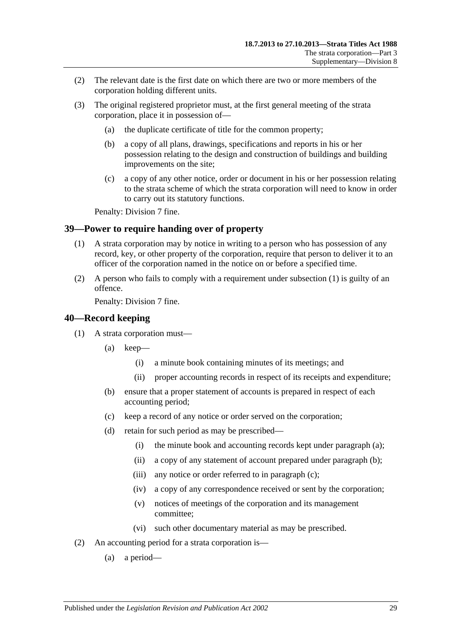- (2) The relevant date is the first date on which there are two or more members of the corporation holding different units.
- (3) The original registered proprietor must, at the first general meeting of the strata corporation, place it in possession of—
	- (a) the duplicate certificate of title for the common property;
	- (b) a copy of all plans, drawings, specifications and reports in his or her possession relating to the design and construction of buildings and building improvements on the site;
	- (c) a copy of any other notice, order or document in his or her possession relating to the strata scheme of which the strata corporation will need to know in order to carry out its statutory functions.

Penalty: Division 7 fine.

## <span id="page-28-2"></span><span id="page-28-0"></span>**39—Power to require handing over of property**

- (1) A strata corporation may by notice in writing to a person who has possession of any record, key, or other property of the corporation, require that person to deliver it to an officer of the corporation named in the notice on or before a specified time.
- (2) A person who fails to comply with a requirement under [subsection](#page-28-2) (1) is guilty of an offence.

Penalty: Division 7 fine.

### <span id="page-28-1"></span>**40—Record keeping**

- <span id="page-28-5"></span><span id="page-28-4"></span><span id="page-28-3"></span>(1) A strata corporation must—
	- (a) keep—
		- (i) a minute book containing minutes of its meetings; and
		- (ii) proper accounting records in respect of its receipts and expenditure;
	- (b) ensure that a proper statement of accounts is prepared in respect of each accounting period;
	- (c) keep a record of any notice or order served on the corporation;
	- (d) retain for such period as may be prescribed—
		- (i) the minute book and accounting records kept under [paragraph](#page-28-3) (a);
		- (ii) a copy of any statement of account prepared under [paragraph](#page-28-4) (b);
		- (iii) any notice or order referred to in [paragraph](#page-28-5) (c);
		- (iv) a copy of any correspondence received or sent by the corporation;
		- (v) notices of meetings of the corporation and its management committee;
		- (vi) such other documentary material as may be prescribed.
- (2) An accounting period for a strata corporation is—
	- (a) a period—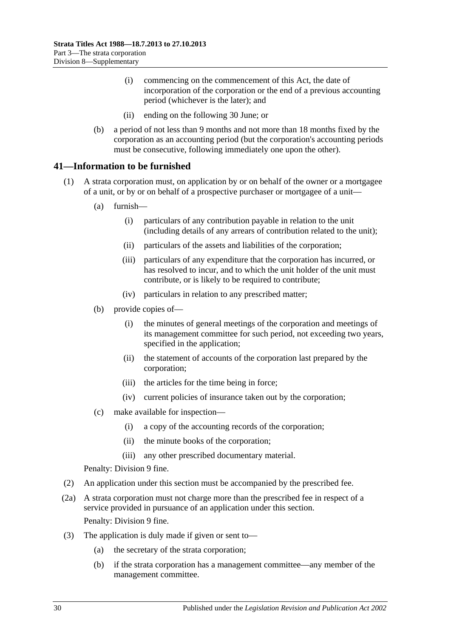- (i) commencing on the commencement of this Act, the date of incorporation of the corporation or the end of a previous accounting period (whichever is the later); and
- (ii) ending on the following 30 June; or
- (b) a period of not less than 9 months and not more than 18 months fixed by the corporation as an accounting period (but the corporation's accounting periods must be consecutive, following immediately one upon the other).

## <span id="page-29-0"></span>**41—Information to be furnished**

- <span id="page-29-1"></span>(1) A strata corporation must, on application by or on behalf of the owner or a mortgagee of a unit, or by or on behalf of a prospective purchaser or mortgagee of a unit—
	- (a) furnish—
		- (i) particulars of any contribution payable in relation to the unit (including details of any arrears of contribution related to the unit);
		- (ii) particulars of the assets and liabilities of the corporation;
		- (iii) particulars of any expenditure that the corporation has incurred, or has resolved to incur, and to which the unit holder of the unit must contribute, or is likely to be required to contribute;
		- (iv) particulars in relation to any prescribed matter;
	- (b) provide copies of—
		- (i) the minutes of general meetings of the corporation and meetings of its management committee for such period, not exceeding two years, specified in the application;
		- (ii) the statement of accounts of the corporation last prepared by the corporation;
		- (iii) the articles for the time being in force;
		- (iv) current policies of insurance taken out by the corporation;
	- (c) make available for inspection—
		- (i) a copy of the accounting records of the corporation;
		- (ii) the minute books of the corporation;
		- (iii) any other prescribed documentary material.

Penalty: Division 9 fine.

- (2) An application under this section must be accompanied by the prescribed fee.
- (2a) A strata corporation must not charge more than the prescribed fee in respect of a service provided in pursuance of an application under this section. Penalty: Division 9 fine.
- (3) The application is duly made if given or sent to—
	- (a) the secretary of the strata corporation;
	- (b) if the strata corporation has a management committee—any member of the management committee.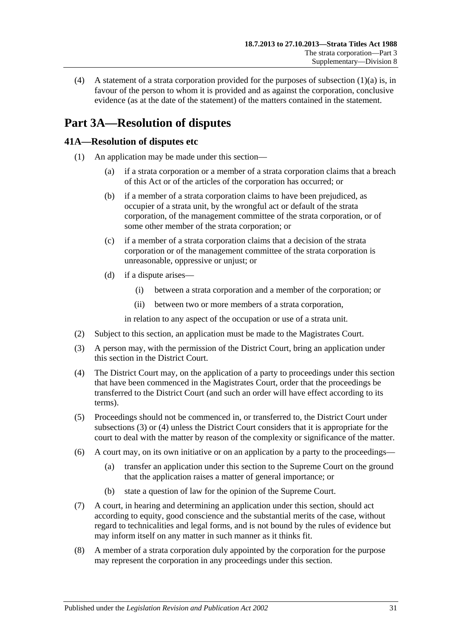(4) A statement of a strata corporation provided for the purposes of [subsection](#page-29-1)  $(1)(a)$  is, in favour of the person to whom it is provided and as against the corporation, conclusive evidence (as at the date of the statement) of the matters contained in the statement.

## <span id="page-30-0"></span>**Part 3A—Resolution of disputes**

## <span id="page-30-1"></span>**41A—Resolution of disputes etc**

- (1) An application may be made under this section—
	- (a) if a strata corporation or a member of a strata corporation claims that a breach of this Act or of the articles of the corporation has occurred; or
	- (b) if a member of a strata corporation claims to have been prejudiced, as occupier of a strata unit, by the wrongful act or default of the strata corporation, of the management committee of the strata corporation, or of some other member of the strata corporation; or
	- (c) if a member of a strata corporation claims that a decision of the strata corporation or of the management committee of the strata corporation is unreasonable, oppressive or unjust; or
	- (d) if a dispute arises—
		- (i) between a strata corporation and a member of the corporation; or
		- (ii) between two or more members of a strata corporation,

in relation to any aspect of the occupation or use of a strata unit.

- (2) Subject to this section, an application must be made to the Magistrates Court.
- <span id="page-30-2"></span>(3) A person may, with the permission of the District Court, bring an application under this section in the District Court.
- <span id="page-30-3"></span>(4) The District Court may, on the application of a party to proceedings under this section that have been commenced in the Magistrates Court, order that the proceedings be transferred to the District Court (and such an order will have effect according to its terms).
- (5) Proceedings should not be commenced in, or transferred to, the District Court under [subsections](#page-30-2) (3) or [\(4\)](#page-30-3) unless the District Court considers that it is appropriate for the court to deal with the matter by reason of the complexity or significance of the matter.
- (6) A court may, on its own initiative or on an application by a party to the proceedings—
	- (a) transfer an application under this section to the Supreme Court on the ground that the application raises a matter of general importance; or
	- (b) state a question of law for the opinion of the Supreme Court.
- (7) A court, in hearing and determining an application under this section, should act according to equity, good conscience and the substantial merits of the case, without regard to technicalities and legal forms, and is not bound by the rules of evidence but may inform itself on any matter in such manner as it thinks fit.
- (8) A member of a strata corporation duly appointed by the corporation for the purpose may represent the corporation in any proceedings under this section.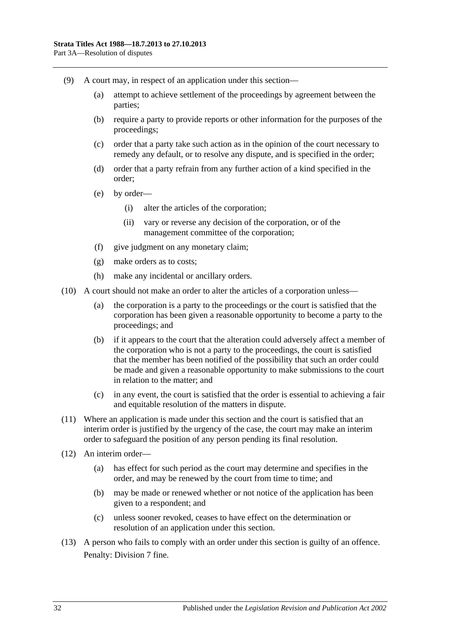- (9) A court may, in respect of an application under this section—
	- (a) attempt to achieve settlement of the proceedings by agreement between the parties;
	- (b) require a party to provide reports or other information for the purposes of the proceedings;
	- (c) order that a party take such action as in the opinion of the court necessary to remedy any default, or to resolve any dispute, and is specified in the order;
	- (d) order that a party refrain from any further action of a kind specified in the order;
	- (e) by order—
		- (i) alter the articles of the corporation;
		- (ii) vary or reverse any decision of the corporation, or of the management committee of the corporation;
	- (f) give judgment on any monetary claim;
	- (g) make orders as to costs;
	- (h) make any incidental or ancillary orders.
- (10) A court should not make an order to alter the articles of a corporation unless—
	- (a) the corporation is a party to the proceedings or the court is satisfied that the corporation has been given a reasonable opportunity to become a party to the proceedings; and
	- (b) if it appears to the court that the alteration could adversely affect a member of the corporation who is not a party to the proceedings, the court is satisfied that the member has been notified of the possibility that such an order could be made and given a reasonable opportunity to make submissions to the court in relation to the matter; and
	- (c) in any event, the court is satisfied that the order is essential to achieving a fair and equitable resolution of the matters in dispute.
- (11) Where an application is made under this section and the court is satisfied that an interim order is justified by the urgency of the case, the court may make an interim order to safeguard the position of any person pending its final resolution.
- (12) An interim order—
	- (a) has effect for such period as the court may determine and specifies in the order, and may be renewed by the court from time to time; and
	- (b) may be made or renewed whether or not notice of the application has been given to a respondent; and
	- (c) unless sooner revoked, ceases to have effect on the determination or resolution of an application under this section.
- (13) A person who fails to comply with an order under this section is guilty of an offence. Penalty: Division 7 fine.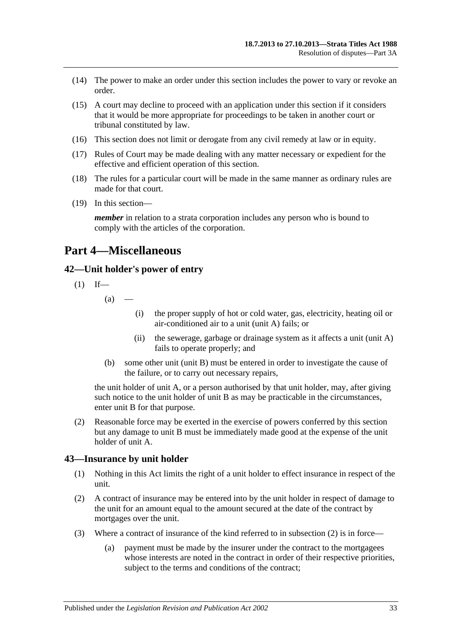- (14) The power to make an order under this section includes the power to vary or revoke an order.
- (15) A court may decline to proceed with an application under this section if it considers that it would be more appropriate for proceedings to be taken in another court or tribunal constituted by law.
- (16) This section does not limit or derogate from any civil remedy at law or in equity.
- (17) Rules of Court may be made dealing with any matter necessary or expedient for the effective and efficient operation of this section.
- (18) The rules for a particular court will be made in the same manner as ordinary rules are made for that court.
- (19) In this section—

*member* in relation to a strata corporation includes any person who is bound to comply with the articles of the corporation.

## <span id="page-32-0"></span>**Part 4—Miscellaneous**

## <span id="page-32-1"></span>**42—Unit holder's power of entry**

$$
(1) If—
$$

 $(a)$ 

- (i) the proper supply of hot or cold water, gas, electricity, heating oil or air-conditioned air to a unit (unit A) fails; or
- (ii) the sewerage, garbage or drainage system as it affects a unit (unit A) fails to operate properly; and
- (b) some other unit (unit B) must be entered in order to investigate the cause of the failure, or to carry out necessary repairs,

the unit holder of unit A, or a person authorised by that unit holder, may, after giving such notice to the unit holder of unit B as may be practicable in the circumstances, enter unit B for that purpose.

(2) Reasonable force may be exerted in the exercise of powers conferred by this section but any damage to unit B must be immediately made good at the expense of the unit holder of unit A.

### <span id="page-32-2"></span>**43—Insurance by unit holder**

- (1) Nothing in this Act limits the right of a unit holder to effect insurance in respect of the unit.
- <span id="page-32-3"></span>(2) A contract of insurance may be entered into by the unit holder in respect of damage to the unit for an amount equal to the amount secured at the date of the contract by mortgages over the unit.
- (3) Where a contract of insurance of the kind referred to in [subsection](#page-32-3) (2) is in force—
	- (a) payment must be made by the insurer under the contract to the mortgagees whose interests are noted in the contract in order of their respective priorities, subject to the terms and conditions of the contract;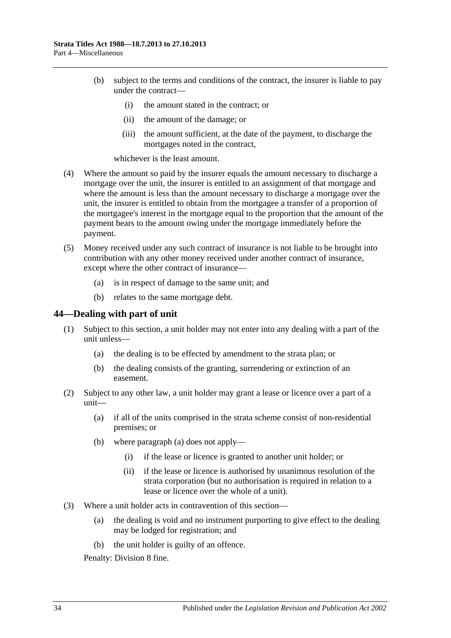- (b) subject to the terms and conditions of the contract, the insurer is liable to pay under the contract—
	- (i) the amount stated in the contract; or
	- (ii) the amount of the damage; or
	- (iii) the amount sufficient, at the date of the payment, to discharge the mortgages noted in the contract,

whichever is the least amount.

- (4) Where the amount so paid by the insurer equals the amount necessary to discharge a mortgage over the unit, the insurer is entitled to an assignment of that mortgage and where the amount is less than the amount necessary to discharge a mortgage over the unit, the insurer is entitled to obtain from the mortgagee a transfer of a proportion of the mortgagee's interest in the mortgage equal to the proportion that the amount of the payment bears to the amount owing under the mortgage immediately before the payment.
- (5) Money received under any such contract of insurance is not liable to be brought into contribution with any other money received under another contract of insurance, except where the other contract of insurance—
	- (a) is in respect of damage to the same unit; and
	- (b) relates to the same mortgage debt.

#### <span id="page-33-0"></span>**44—Dealing with part of unit**

- (1) Subject to this section, a unit holder may not enter into any dealing with a part of the unit unless—
	- (a) the dealing is to be effected by amendment to the strata plan; or
	- (b) the dealing consists of the granting, surrendering or extinction of an easement.
- <span id="page-33-1"></span>(2) Subject to any other law, a unit holder may grant a lease or licence over a part of a unit—
	- (a) if all of the units comprised in the strata scheme consist of non-residential premises; or
	- (b) where [paragraph](#page-33-1) (a) does not apply—
		- (i) if the lease or licence is granted to another unit holder; or
		- (ii) if the lease or licence is authorised by unanimous resolution of the strata corporation (but no authorisation is required in relation to a lease or licence over the whole of a unit).
- (3) Where a unit holder acts in contravention of this section—
	- (a) the dealing is void and no instrument purporting to give effect to the dealing may be lodged for registration; and
	- (b) the unit holder is guilty of an offence.

Penalty: Division 8 fine.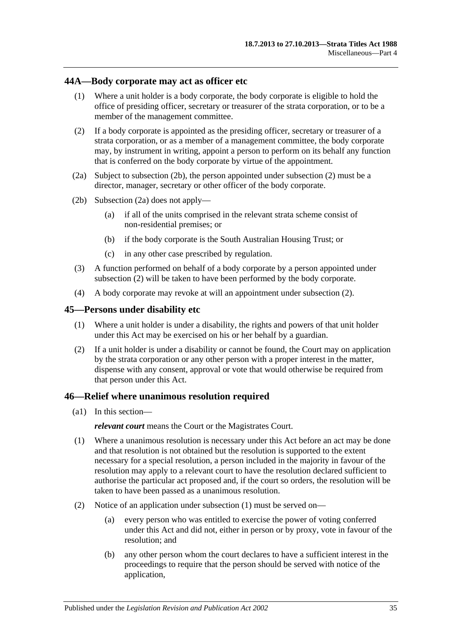### <span id="page-34-0"></span>**44A—Body corporate may act as officer etc**

- (1) Where a unit holder is a body corporate, the body corporate is eligible to hold the office of presiding officer, secretary or treasurer of the strata corporation, or to be a member of the management committee.
- <span id="page-34-4"></span>(2) If a body corporate is appointed as the presiding officer, secretary or treasurer of a strata corporation, or as a member of a management committee, the body corporate may, by instrument in writing, appoint a person to perform on its behalf any function that is conferred on the body corporate by virtue of the appointment.
- <span id="page-34-5"></span>(2a) Subject to [subsection](#page-34-3) (2b), the person appointed under [subsection](#page-34-4) (2) must be a director, manager, secretary or other officer of the body corporate.
- <span id="page-34-3"></span>(2b) [Subsection](#page-34-5) (2a) does not apply—
	- (a) if all of the units comprised in the relevant strata scheme consist of non-residential premises; or
	- (b) if the body corporate is the South Australian Housing Trust; or
	- (c) in any other case prescribed by regulation.
- (3) A function performed on behalf of a body corporate by a person appointed under [subsection](#page-34-4) (2) will be taken to have been performed by the body corporate.
- (4) A body corporate may revoke at will an appointment under [subsection](#page-34-4) (2).

### <span id="page-34-1"></span>**45—Persons under disability etc**

- (1) Where a unit holder is under a disability, the rights and powers of that unit holder under this Act may be exercised on his or her behalf by a guardian.
- (2) If a unit holder is under a disability or cannot be found, the Court may on application by the strata corporation or any other person with a proper interest in the matter, dispense with any consent, approval or vote that would otherwise be required from that person under this Act.

### <span id="page-34-2"></span>**46—Relief where unanimous resolution required**

(a1) In this section—

*relevant court* means the Court or the Magistrates Court.

- <span id="page-34-6"></span>(1) Where a unanimous resolution is necessary under this Act before an act may be done and that resolution is not obtained but the resolution is supported to the extent necessary for a special resolution, a person included in the majority in favour of the resolution may apply to a relevant court to have the resolution declared sufficient to authorise the particular act proposed and, if the court so orders, the resolution will be taken to have been passed as a unanimous resolution.
- (2) Notice of an application under [subsection](#page-34-6) (1) must be served on—
	- (a) every person who was entitled to exercise the power of voting conferred under this Act and did not, either in person or by proxy, vote in favour of the resolution; and
	- (b) any other person whom the court declares to have a sufficient interest in the proceedings to require that the person should be served with notice of the application,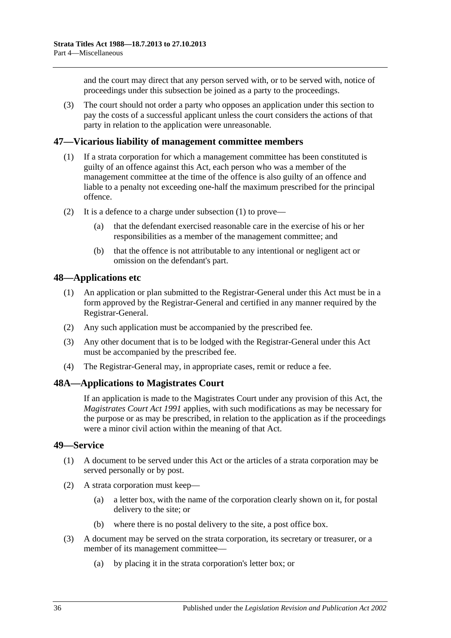and the court may direct that any person served with, or to be served with, notice of proceedings under this subsection be joined as a party to the proceedings.

(3) The court should not order a party who opposes an application under this section to pay the costs of a successful applicant unless the court considers the actions of that party in relation to the application were unreasonable.

### <span id="page-35-4"></span><span id="page-35-0"></span>**47—Vicarious liability of management committee members**

- (1) If a strata corporation for which a management committee has been constituted is guilty of an offence against this Act, each person who was a member of the management committee at the time of the offence is also guilty of an offence and liable to a penalty not exceeding one-half the maximum prescribed for the principal offence.
- (2) It is a defence to a charge under [subsection](#page-35-4) (1) to prove—
	- (a) that the defendant exercised reasonable care in the exercise of his or her responsibilities as a member of the management committee; and
	- (b) that the offence is not attributable to any intentional or negligent act or omission on the defendant's part.

### <span id="page-35-1"></span>**48—Applications etc**

- (1) An application or plan submitted to the Registrar-General under this Act must be in a form approved by the Registrar-General and certified in any manner required by the Registrar-General.
- (2) Any such application must be accompanied by the prescribed fee.
- (3) Any other document that is to be lodged with the Registrar-General under this Act must be accompanied by the prescribed fee.
- (4) The Registrar-General may, in appropriate cases, remit or reduce a fee.

### <span id="page-35-2"></span>**48A—Applications to Magistrates Court**

If an application is made to the Magistrates Court under any provision of this Act, the *[Magistrates Court Act](http://www.legislation.sa.gov.au/index.aspx?action=legref&type=act&legtitle=Magistrates%20Court%20Act%201991) 1991* applies, with such modifications as may be necessary for the purpose or as may be prescribed, in relation to the application as if the proceedings were a minor civil action within the meaning of that Act.

### <span id="page-35-3"></span>**49—Service**

- (1) A document to be served under this Act or the articles of a strata corporation may be served personally or by post.
- (2) A strata corporation must keep—
	- (a) a letter box, with the name of the corporation clearly shown on it, for postal delivery to the site; or
	- (b) where there is no postal delivery to the site, a post office box.
- (3) A document may be served on the strata corporation, its secretary or treasurer, or a member of its management committee—
	- (a) by placing it in the strata corporation's letter box; or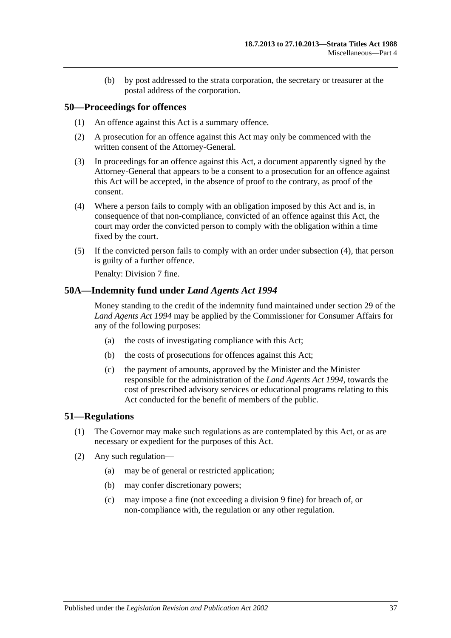(b) by post addressed to the strata corporation, the secretary or treasurer at the postal address of the corporation.

### <span id="page-36-0"></span>**50—Proceedings for offences**

- (1) An offence against this Act is a summary offence.
- (2) A prosecution for an offence against this Act may only be commenced with the written consent of the Attorney-General.
- (3) In proceedings for an offence against this Act, a document apparently signed by the Attorney-General that appears to be a consent to a prosecution for an offence against this Act will be accepted, in the absence of proof to the contrary, as proof of the consent.
- <span id="page-36-3"></span>(4) Where a person fails to comply with an obligation imposed by this Act and is, in consequence of that non-compliance, convicted of an offence against this Act, the court may order the convicted person to comply with the obligation within a time fixed by the court.
- (5) If the convicted person fails to comply with an order under [subsection](#page-36-3) (4), that person is guilty of a further offence.

Penalty: Division 7 fine.

### <span id="page-36-1"></span>**50A—Indemnity fund under** *Land Agents Act 1994*

Money standing to the credit of the indemnity fund maintained under section 29 of the *[Land Agents Act](http://www.legislation.sa.gov.au/index.aspx?action=legref&type=act&legtitle=Land%20Agents%20Act%201994) 1994* may be applied by the Commissioner for Consumer Affairs for any of the following purposes:

- (a) the costs of investigating compliance with this Act;
- (b) the costs of prosecutions for offences against this Act;
- (c) the payment of amounts, approved by the Minister and the Minister responsible for the administration of the *[Land Agents Act](http://www.legislation.sa.gov.au/index.aspx?action=legref&type=act&legtitle=Land%20Agents%20Act%201994) 1994*, towards the cost of prescribed advisory services or educational programs relating to this Act conducted for the benefit of members of the public.

### <span id="page-36-2"></span>**51—Regulations**

- (1) The Governor may make such regulations as are contemplated by this Act, or as are necessary or expedient for the purposes of this Act.
- (2) Any such regulation—
	- (a) may be of general or restricted application;
	- (b) may confer discretionary powers;
	- (c) may impose a fine (not exceeding a division 9 fine) for breach of, or non-compliance with, the regulation or any other regulation.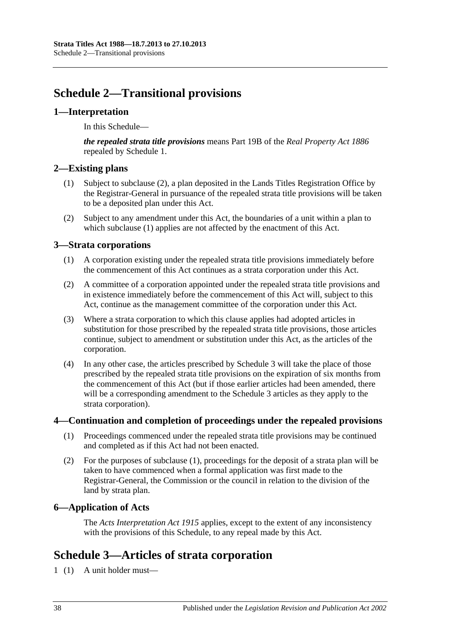## <span id="page-37-0"></span>**Schedule 2—Transitional provisions**

## <span id="page-37-1"></span>**1—Interpretation**

In this Schedule—

*the repealed strata title provisions* means Part 19B of the *[Real Property Act](http://www.legislation.sa.gov.au/index.aspx?action=legref&type=act&legtitle=Real%20Property%20Act%201886) 1886* repealed by Schedule 1.

## <span id="page-37-8"></span><span id="page-37-2"></span>**2—Existing plans**

- (1) Subject to [subclause](#page-37-7) (2), a plan deposited in the Lands Titles Registration Office by the Registrar-General in pursuance of the repealed strata title provisions will be taken to be a deposited plan under this Act.
- <span id="page-37-7"></span>(2) Subject to any amendment under this Act, the boundaries of a unit within a plan to which [subclause](#page-37-8) (1) applies are not affected by the enactment of this Act.

## <span id="page-37-3"></span>**3—Strata corporations**

- (1) A corporation existing under the repealed strata title provisions immediately before the commencement of this Act continues as a strata corporation under this Act.
- (2) A committee of a corporation appointed under the repealed strata title provisions and in existence immediately before the commencement of this Act will, subject to this Act, continue as the management committee of the corporation under this Act.
- (3) Where a strata corporation to which this clause applies had adopted articles in substitution for those prescribed by the repealed strata title provisions, those articles continue, subject to amendment or substitution under this Act, as the articles of the corporation.
- (4) In any other case, the articles prescribed by [Schedule 3](#page-37-6) will take the place of those prescribed by the repealed strata title provisions on the expiration of six months from the commencement of this Act (but if those earlier articles had been amended, there will be a corresponding amendment to the [Schedule 3](#page-37-6) articles as they apply to the strata corporation).

## <span id="page-37-9"></span><span id="page-37-4"></span>**4—Continuation and completion of proceedings under the repealed provisions**

- (1) Proceedings commenced under the repealed strata title provisions may be continued and completed as if this Act had not been enacted.
- (2) For the purposes of [subclause](#page-37-9) (1), proceedings for the deposit of a strata plan will be taken to have commenced when a formal application was first made to the Registrar-General, the Commission or the council in relation to the division of the land by strata plan.

## <span id="page-37-5"></span>**6—Application of Acts**

The *[Acts Interpretation Act](http://www.legislation.sa.gov.au/index.aspx?action=legref&type=act&legtitle=Acts%20Interpretation%20Act%201915) 1915* applies, except to the extent of any inconsistency with the provisions of this Schedule, to any repeal made by this Act.

## <span id="page-37-6"></span>**Schedule 3—Articles of strata corporation**

1 (1) A unit holder must—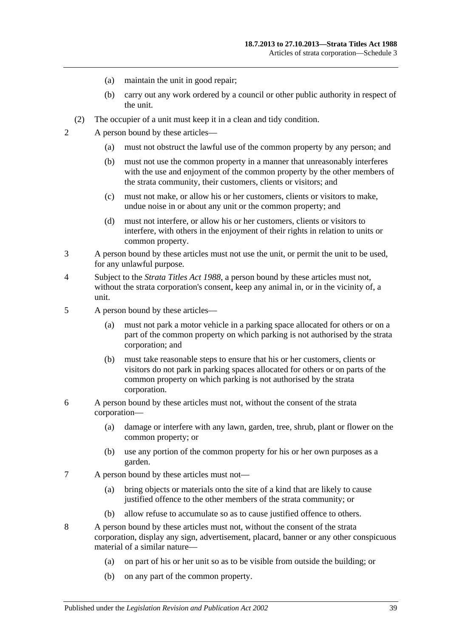- (a) maintain the unit in good repair;
- (b) carry out any work ordered by a council or other public authority in respect of the unit.
- (2) The occupier of a unit must keep it in a clean and tidy condition.
- 2 A person bound by these articles—
	- (a) must not obstruct the lawful use of the common property by any person; and
	- (b) must not use the common property in a manner that unreasonably interferes with the use and enjoyment of the common property by the other members of the strata community, their customers, clients or visitors; and
	- (c) must not make, or allow his or her customers, clients or visitors to make, undue noise in or about any unit or the common property; and
	- (d) must not interfere, or allow his or her customers, clients or visitors to interfere, with others in the enjoyment of their rights in relation to units or common property.
- 3 A person bound by these articles must not use the unit, or permit the unit to be used, for any unlawful purpose.
- 4 Subject to the *[Strata Titles Act](http://www.legislation.sa.gov.au/index.aspx?action=legref&type=act&legtitle=Strata%20Titles%20Act%201988) 1988*, a person bound by these articles must not, without the strata corporation's consent, keep any animal in, or in the vicinity of, a unit.
- 5 A person bound by these articles—
	- (a) must not park a motor vehicle in a parking space allocated for others or on a part of the common property on which parking is not authorised by the strata corporation; and
	- (b) must take reasonable steps to ensure that his or her customers, clients or visitors do not park in parking spaces allocated for others or on parts of the common property on which parking is not authorised by the strata corporation.
- 6 A person bound by these articles must not, without the consent of the strata corporation—
	- (a) damage or interfere with any lawn, garden, tree, shrub, plant or flower on the common property; or
	- (b) use any portion of the common property for his or her own purposes as a garden.
- 7 A person bound by these articles must not—
	- (a) bring objects or materials onto the site of a kind that are likely to cause justified offence to the other members of the strata community; or
	- (b) allow refuse to accumulate so as to cause justified offence to others.
- 8 A person bound by these articles must not, without the consent of the strata corporation, display any sign, advertisement, placard, banner or any other conspicuous material of a similar nature—
	- (a) on part of his or her unit so as to be visible from outside the building; or
	- (b) on any part of the common property.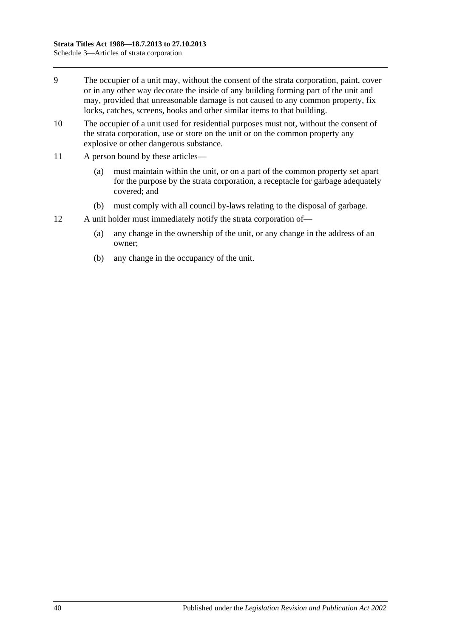- 9 The occupier of a unit may, without the consent of the strata corporation, paint, cover or in any other way decorate the inside of any building forming part of the unit and may, provided that unreasonable damage is not caused to any common property, fix locks, catches, screens, hooks and other similar items to that building.
- 10 The occupier of a unit used for residential purposes must not, without the consent of the strata corporation, use or store on the unit or on the common property any explosive or other dangerous substance.
- 11 A person bound by these articles—
	- (a) must maintain within the unit, or on a part of the common property set apart for the purpose by the strata corporation, a receptacle for garbage adequately covered; and
	- (b) must comply with all council by-laws relating to the disposal of garbage.
- 12 A unit holder must immediately notify the strata corporation of—
	- (a) any change in the ownership of the unit, or any change in the address of an owner;
	- (b) any change in the occupancy of the unit.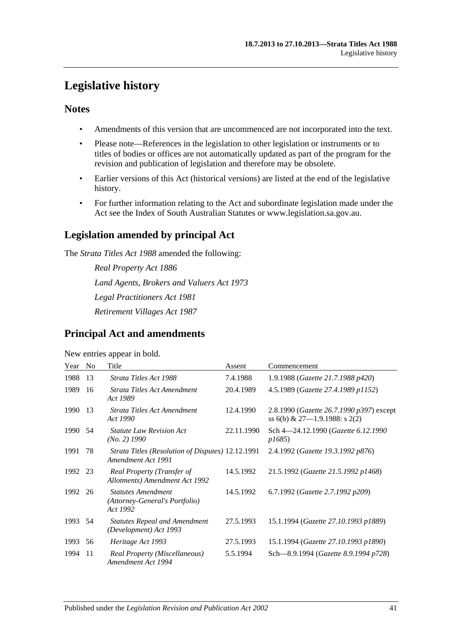## <span id="page-40-0"></span>**Legislative history**

## **Notes**

- Amendments of this version that are uncommenced are not incorporated into the text.
- Please note—References in the legislation to other legislation or instruments or to titles of bodies or offices are not automatically updated as part of the program for the revision and publication of legislation and therefore may be obsolete.
- Earlier versions of this Act (historical versions) are listed at the end of the legislative history.
- For further information relating to the Act and subordinate legislation made under the Act see the Index of South Australian Statutes or www.legislation.sa.gov.au.

## **Legislation amended by principal Act**

The *Strata Titles Act 1988* amended the following:

*Real Property Act 1886 Land Agents, Brokers and Valuers Act 1973 Legal Practitioners Act 1981 Retirement Villages Act 1987*

## **Principal Act and amendments**

### New entries appear in bold.

| Year    | N <sub>0</sub> | Title                                                                   | Assent     | Commencement                                                                       |
|---------|----------------|-------------------------------------------------------------------------|------------|------------------------------------------------------------------------------------|
| 1988    | 13             | Strata Titles Act 1988                                                  | 7.4.1988   | 1.9.1988 (Gazette 21.7.1988 p420)                                                  |
| 1989    | 16             | Strata Titles Act Amendment<br>Act 1989                                 | 20.4.1989  | 4.5.1989 (Gazette 27.4.1989 p1152)                                                 |
| 1990    | 13             | Strata Titles Act Amendment<br>Act 1990                                 | 12.4.1990  | 2.8.1990 ( <i>Gazette 26.7.1990 p397</i> ) except<br>ss 6(b) & 27-1.9.1988: s 2(2) |
| 1990    | 54             | <b>Statute Law Revision Act</b><br>(No. 2) 1990                         | 22.11.1990 | Sch 4-24.12.1990 (Gazette 6.12.1990<br><i>p1685</i> )                              |
| 1991    | 78             | Strata Titles (Resolution of Disputes) 12.12.1991<br>Amendment Act 1991 |            | 2.4.1992 (Gazette 19.3.1992 p876)                                                  |
| 1992 23 |                | Real Property (Transfer of<br>Allotments) Amendment Act 1992            | 14.5.1992  | 21.5.1992 (Gazette 21.5.1992 p1468)                                                |
| 1992    | 26             | <b>Statutes Amendment</b><br>(Attorney-General's Portfolio)<br>Act 1992 | 14.5.1992  | 6.7.1992 (Gazette 2.7.1992 p209)                                                   |
| 1993    | 54             | <b>Statutes Repeal and Amendment</b><br>(Development) Act 1993          | 27.5.1993  | 15.1.1994 (Gazette 27.10.1993 p1889)                                               |
| 1993    | 56             | Heritage Act 1993                                                       | 27.5.1993  | 15.1.1994 (Gazette 27.10.1993 p1890)                                               |
| 1994    | 11             | Real Property (Miscellaneous)<br>Amendment Act 1994                     | 5.5.1994   | Sch-8.9.1994 (Gazette 8.9.1994 p728)                                               |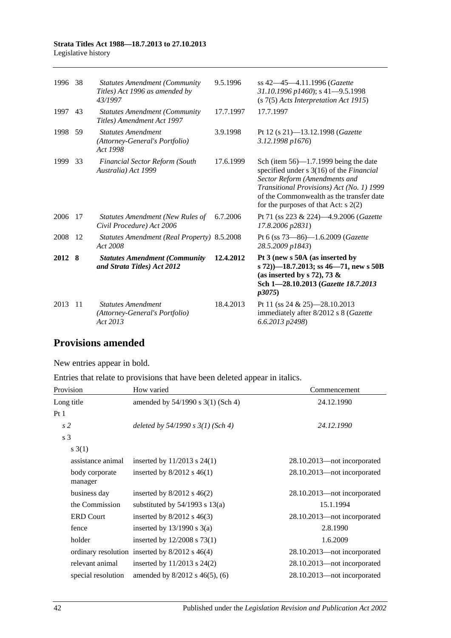| 1996 38 |     | <b>Statutes Amendment (Community</b><br>Titles) Act 1996 as amended by<br>43/1997 | 9.5.1996  | ss 42–45–4.11.1996 (Gazette<br>31.10.1996 p1460); s 41-9.5.1998<br>(s 7(5) Acts Interpretation Act 1915)                                                                                                                                                        |
|---------|-----|-----------------------------------------------------------------------------------|-----------|-----------------------------------------------------------------------------------------------------------------------------------------------------------------------------------------------------------------------------------------------------------------|
| 1997    | 43  | <b>Statutes Amendment (Community</b><br>Titles) Amendment Act 1997                | 17.7.1997 | 17.7.1997                                                                                                                                                                                                                                                       |
| 1998    | 59  | <b>Statutes Amendment</b><br>(Attorney-General's Portfolio)<br>Act 1998           | 3.9.1998  | Pt 12 (s 21)-13.12.1998 (Gazette<br>3.12.1998 p1676)                                                                                                                                                                                                            |
| 1999    | -33 | Financial Sector Reform (South<br>Australia) Act 1999                             | 17.6.1999 | Sch (item $56$ )—1.7.1999 being the date<br>specified under s 3(16) of the <i>Financial</i><br>Sector Reform (Amendments and<br>Transitional Provisions) Act (No. 1) 1999<br>of the Commonwealth as the transfer date<br>for the purposes of that Act: $s$ 2(2) |
| 2006    | -17 | <b>Statutes Amendment (New Rules of</b><br>Civil Procedure) Act 2006              | 6.7.2006  | Pt 71 (ss 223 & 224)-4.9.2006 (Gazette<br>17.8.2006 p2831)                                                                                                                                                                                                      |
| 2008    | -12 | Statutes Amendment (Real Property) 8.5.2008<br>Act 2008                           |           | Pt 6 (ss 73-86)-1.6.2009 (Gazette<br>28.5.2009 p1843)                                                                                                                                                                                                           |
| 2012 8  |     | <b>Statutes Amendment (Community</b><br>and Strata Titles) Act 2012               | 12.4.2012 | Pt 3 (new s 50A (as inserted by<br>s 72))–18.7.2013; ss 46–71, new s 50B<br>(as inserted by s 72), 73 $\&$<br>Sch 1-28.10.2013 (Gazette 18.7.2013<br>p3075)                                                                                                     |
| 2013    | -11 | <b>Statutes Amendment</b><br>(Attorney-General's Portfolio)<br>Act 2013           | 18.4.2013 | Pt 11 (ss 24 & 25)-28.10.2013<br>immediately after 8/2012 s 8 (Gazette<br>6.6.2013 p2498)                                                                                                                                                                       |

## **Provisions amended**

New entries appear in bold.

Entries that relate to provisions that have been deleted appear in italics.

| Provision                 | How varied                                         | Commencement                |  |
|---------------------------|----------------------------------------------------|-----------------------------|--|
| Long title                | amended by 54/1990 s 3(1) (Sch 4)                  | 24.12.1990                  |  |
| Pt1                       |                                                    |                             |  |
| s <sub>2</sub>            | deleted by $54/1990 s 3(1)$ (Sch 4)                | 24.12.1990                  |  |
| s <sub>3</sub>            |                                                    |                             |  |
| s(3(1))                   |                                                    |                             |  |
| assistance animal         | inserted by $11/2013$ s $24(1)$                    | 28.10.2013—not incorporated |  |
| body corporate<br>manager | inserted by $8/2012$ s 46(1)                       | 28.10.2013-not incorporated |  |
| business day              | inserted by $8/2012$ s $46(2)$                     | 28.10.2013—not incorporated |  |
| the Commission            | substituted by $54/1993$ s $13(a)$                 | 15.1.1994                   |  |
| <b>ERD Court</b>          | inserted by $8/2012$ s $46(3)$                     | 28.10.2013-not incorporated |  |
| fence                     | inserted by $13/1990$ s $3(a)$                     | 2.8.1990                    |  |
| holder                    | inserted by $12/2008$ s 73(1)                      | 1.6.2009                    |  |
|                           | ordinary resolution inserted by $8/2012$ s $46(4)$ | 28.10.2013—not incorporated |  |
| relevant animal           | inserted by $11/2013$ s $24(2)$                    | 28.10.2013-not incorporated |  |
| special resolution        | amended by $8/2012$ s 46(5), (6)                   | 28.10.2013-not incorporated |  |

42 Published under the *Legislation Revision and Publication Act 2002*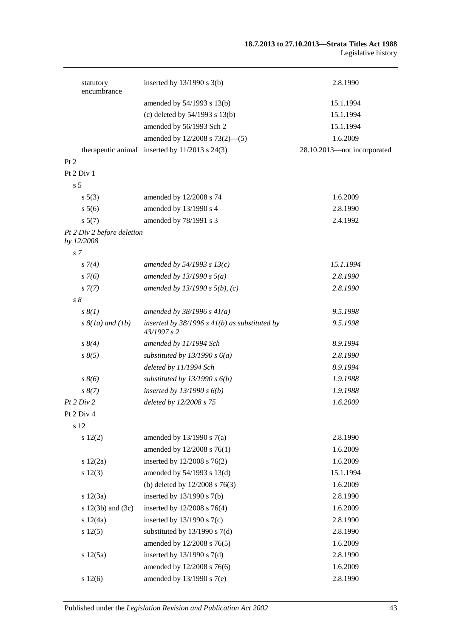#### **18.7.2013 to 27.10.2013—Strata Titles Act 1988** Legislative history

| statutory<br>encumbrance                 | inserted by $13/1990$ s $3(b)$                                   | 2.8.1990                    |
|------------------------------------------|------------------------------------------------------------------|-----------------------------|
|                                          | amended by 54/1993 s 13(b)                                       | 15.1.1994                   |
|                                          | (c) deleted by $54/1993$ s $13(b)$                               | 15.1.1994                   |
|                                          | amended by 56/1993 Sch 2                                         | 15.1.1994                   |
|                                          | amended by 12/2008 s 73(2)–(5)                                   | 1.6.2009                    |
|                                          | therapeutic animal inserted by $11/2013$ s $24(3)$               | 28.10.2013-not incorporated |
| Pt 2                                     |                                                                  |                             |
| Pt 2 Div 1                               |                                                                  |                             |
| s <sub>5</sub>                           |                                                                  |                             |
| $s\ 5(3)$                                | amended by 12/2008 s 74                                          | 1.6.2009                    |
| s 5(6)                                   | amended by 13/1990 s 4                                           | 2.8.1990                    |
| s 5(7)                                   | amended by 78/1991 s 3                                           | 2.4.1992                    |
| Pt 2 Div 2 before deletion<br>by 12/2008 |                                                                  |                             |
| s <sub>7</sub>                           |                                                                  |                             |
| $s \, 7(4)$                              | amended by $54/1993$ s $13(c)$                                   | 15.1.1994                   |
| $s \, 7(6)$                              | amended by $13/1990 s 5(a)$                                      | 2.8.1990                    |
| $s \, 7(7)$                              | amended by $13/1990 s 5(b)$ , (c)                                | 2.8.1990                    |
| $s\delta$                                |                                                                  |                             |
| $s \, \mathcal{S}(1)$                    | amended by $38/1996 s 41(a)$                                     | 9.5.1998                    |
| $s \& (1a)$ and $(1b)$                   | inserted by $38/1996$ s $41(b)$ as substituted by<br>43/1997 s 2 | 9.5.1998                    |
| $s \, 8(4)$                              | amended by 11/1994 Sch                                           | 8.9.1994                    |
| $s \, 8(5)$                              | substituted by $13/1990 s 6(a)$                                  | 2.8.1990                    |
|                                          | deleted by 11/1994 Sch                                           | 8.9.1994                    |
| $s \, 8(6)$                              | substituted by $13/1990 s 6(b)$                                  | 1.9.1988                    |
| $s \, 8(7)$                              | inserted by $13/1990 s 6(b)$                                     | 1.9.1988                    |
| Pt 2 Div 2                               | deleted by 12/2008 s 75                                          | 1.6.2009                    |
| Pt 2 Div 4                               |                                                                  |                             |
| s 12                                     |                                                                  |                             |
| s 12(2)                                  | amended by $13/1990$ s $7(a)$                                    | 2.8.1990                    |
|                                          | amended by 12/2008 s 76(1)                                       | 1.6.2009                    |
| 12(2a)                                   | inserted by 12/2008 s 76(2)                                      | 1.6.2009                    |
| s 12(3)                                  | amended by 54/1993 s 13(d)                                       | 15.1.1994                   |
|                                          | (b) deleted by $12/2008$ s $76(3)$                               | 1.6.2009                    |
| s 12(3a)                                 | inserted by $13/1990$ s $7(b)$                                   | 2.8.1990                    |
| s $12(3b)$ and $(3c)$                    | inserted by 12/2008 s 76(4)                                      | 1.6.2009                    |
| s 12(4a)                                 | inserted by $13/1990$ s $7(c)$                                   | 2.8.1990                    |
| s 12(5)                                  | substituted by $13/1990$ s $7(d)$                                | 2.8.1990                    |
|                                          | amended by 12/2008 s 76(5)                                       | 1.6.2009                    |
| s 12(5a)                                 | inserted by $13/1990$ s $7(d)$                                   | 2.8.1990                    |
|                                          | amended by 12/2008 s 76(6)                                       | 1.6.2009                    |
| s 12(6)                                  | amended by 13/1990 s 7(e)                                        | 2.8.1990                    |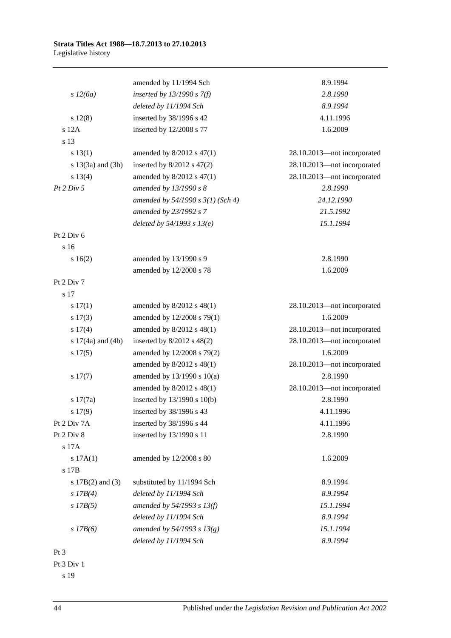|                       | amended by 11/1994 Sch              | 8.9.1994                    |
|-----------------------|-------------------------------------|-----------------------------|
| s 12(6a)              | inserted by $13/1990 s 7(f)$        | 2.8.1990                    |
|                       | deleted by 11/1994 Sch              | 8.9.1994                    |
| s 12(8)               | inserted by 38/1996 s 42            | 4.11.1996                   |
| s 12A                 | inserted by 12/2008 s 77            | 1.6.2009                    |
| s 13                  |                                     |                             |
| s 13(1)               | amended by $8/2012$ s $47(1)$       | 28.10.2013-not incorporated |
| s $13(3a)$ and $(3b)$ | inserted by $8/2012$ s $47(2)$      | 28.10.2013-not incorporated |
| s 13(4)               | amended by $8/2012$ s $47(1)$       | 28.10.2013-not incorporated |
| Pt 2 Div 5            | amended by 13/1990 s 8              | 2.8.1990                    |
|                       | amended by $54/1990 s 3(1)$ (Sch 4) | 24.12.1990                  |
|                       | amended by 23/1992 s 7              | 21.5.1992                   |
|                       | deleted by $54/1993 s 13(e)$        | 15.1.1994                   |
| Pt 2 Div 6            |                                     |                             |
| s 16                  |                                     |                             |
| s 16(2)               | amended by 13/1990 s 9              | 2.8.1990                    |
|                       | amended by 12/2008 s 78             | 1.6.2009                    |
| Pt 2 Div 7            |                                     |                             |
| s 17                  |                                     |                             |
| $s\ 17(1)$            | amended by $8/2012$ s $48(1)$       | 28.10.2013-not incorporated |
| s 17(3)               | amended by 12/2008 s 79(1)          | 1.6.2009                    |
| s 17(4)               | amended by $8/2012$ s $48(1)$       | 28.10.2013-not incorporated |
| s $17(4a)$ and $(4b)$ | inserted by $8/2012$ s $48(2)$      | 28.10.2013-not incorporated |
| s 17(5)               | amended by 12/2008 s 79(2)          | 1.6.2009                    |
|                       | amended by $8/2012$ s $48(1)$       | 28.10.2013-not incorporated |
| s 17(7)               | amended by $13/1990$ s $10(a)$      | 2.8.1990                    |
|                       | amended by 8/2012 s 48(1)           | 28.10.2013-not incorporated |
| s 17(7a)              | inserted by 13/1990 s 10(b)         | 2.8.1990                    |
| s 17(9)               | inserted by 38/1996 s 43            | 4.11.1996                   |
| Pt 2 Div 7A           | inserted by 38/1996 s 44            | 4.11.1996                   |
| Pt 2 Div 8            | inserted by 13/1990 s 11            | 2.8.1990                    |
| s 17A                 |                                     |                             |
| s 17A(1)              | amended by 12/2008 s 80             | 1.6.2009                    |
| s 17B                 |                                     |                             |
| s $17B(2)$ and $(3)$  | substituted by 11/1994 Sch          | 8.9.1994                    |
| $s$ 17B(4)            | deleted by 11/1994 Sch              | 8.9.1994                    |
| $s$ 17B(5)            | amended by $54/1993$ s $13(f)$      | 15.1.1994                   |
|                       | deleted by 11/1994 Sch              | 8.9.1994                    |
| $s$ 17B(6)            | amended by 54/1993 s $13(g)$        | 15.1.1994                   |
|                       | deleted by 11/1994 Sch              | 8.9.1994                    |
| $Pt\,3$               |                                     |                             |
| Pt 3 Div 1            |                                     |                             |
|                       |                                     |                             |

s 19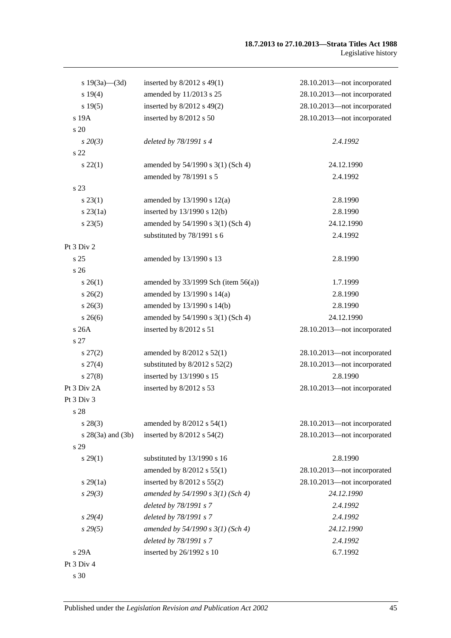| s $19(3a)$ (3d)     | inserted by $8/2012$ s 49(1)             | 28.10.2013-not incorporated |
|---------------------|------------------------------------------|-----------------------------|
| s 19(4)             | amended by 11/2013 s 25                  | 28.10.2013-not incorporated |
| s 19(5)             | inserted by $8/2012$ s $49(2)$           | 28.10.2013-not incorporated |
| s 19A               | inserted by 8/2012 s 50                  | 28.10.2013-not incorporated |
| s 20                |                                          |                             |
| $s\,20(3)$          | deleted by 78/1991 s 4                   | 2.4.1992                    |
| s 22                |                                          |                             |
| $s\,22(1)$          | amended by 54/1990 s 3(1) (Sch 4)        | 24.12.1990                  |
|                     | amended by 78/1991 s 5                   | 2.4.1992                    |
| s 23                |                                          |                             |
| $s\,23(1)$          | amended by $13/1990$ s $12(a)$           | 2.8.1990                    |
| $s$ 23 $(1a)$       | inserted by 13/1990 s 12(b)              | 2.8.1990                    |
| $s\,23(5)$          | amended by 54/1990 s 3(1) (Sch 4)        | 24.12.1990                  |
|                     | substituted by 78/1991 s 6               | 2.4.1992                    |
| Pt 3 Div 2          |                                          |                             |
| s <sub>25</sub>     | amended by 13/1990 s 13                  | 2.8.1990                    |
| s <sub>26</sub>     |                                          |                             |
| $s \; 26(1)$        | amended by $33/1999$ Sch (item $56(a)$ ) | 1.7.1999                    |
| $s \; 26(2)$        | amended by 13/1990 s 14(a)               | 2.8.1990                    |
| $s \; 26(3)$        | amended by 13/1990 s 14(b)               | 2.8.1990                    |
| $s \; 26(6)$        | amended by 54/1990 s 3(1) (Sch 4)        | 24.12.1990                  |
| s 26A               | inserted by 8/2012 s 51                  | 28.10.2013-not incorporated |
| s 27                |                                          |                             |
| $s\,27(2)$          | amended by $8/2012$ s $52(1)$            | 28.10.2013-not incorporated |
| $s \, 27(4)$        | substituted by $8/2012$ s $52(2)$        | 28.10.2013-not incorporated |
| $s\,27(8)$          | inserted by 13/1990 s 15                 | 2.8.1990                    |
| Pt 3 Div 2A         | inserted by 8/2012 s 53                  | 28.10.2013-not incorporated |
| Pt 3 Div 3          |                                          |                             |
| s 28                |                                          |                             |
| $s\,28(3)$          | amended by $8/2012$ s $54(1)$            | 28.10.2013-not incorporated |
| $s$ 28(3a) and (3b) | inserted by $8/2012$ s $54(2)$           | 28.10.2013-not incorporated |
| s 29                |                                          |                             |
| s 29(1)             | substituted by 13/1990 s 16              | 2.8.1990                    |
|                     | amended by 8/2012 s 55(1)                | 28.10.2013—not incorporated |
| $s\,29(1a)$         | inserted by $8/2012$ s $55(2)$           | 28.10.2013-not incorporated |
| s29(3)              | amended by $54/1990 s 3(1)$ (Sch 4)      | 24.12.1990                  |
|                     | deleted by 78/1991 s 7                   | 2.4.1992                    |
| $s\,29(4)$          | deleted by 78/1991 s 7                   | 2.4.1992                    |
| s29(5)              | amended by $54/1990 s 3(1)$ (Sch 4)      | 24.12.1990                  |
|                     | deleted by 78/1991 s 7                   | 2.4.1992                    |
| s 29A               | inserted by 26/1992 s 10                 | 6.7.1992                    |
| Pt 3 Div 4          |                                          |                             |
| s 30                |                                          |                             |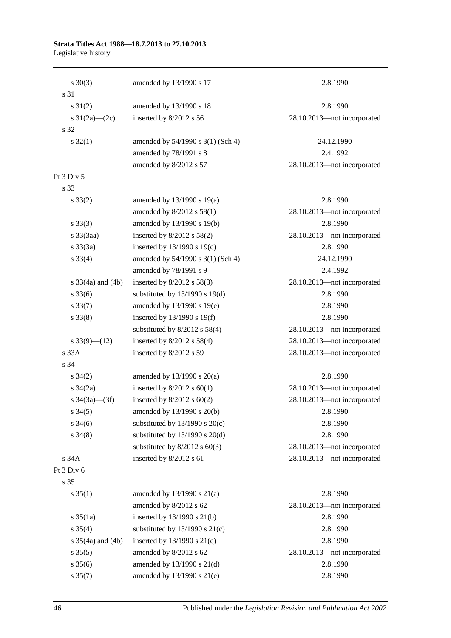| $s \ 30(3)$           | amended by 13/1990 s 17            | 2.8.1990                    |
|-----------------------|------------------------------------|-----------------------------|
| s 31                  |                                    |                             |
| $s \, 31(2)$          | amended by 13/1990 s 18            | 2.8.1990                    |
| s $31(2a)$ (2c)       | inserted by 8/2012 s 56            | 28.10.2013-not incorporated |
| s 32                  |                                    |                             |
| $s \, 32(1)$          | amended by 54/1990 s 3(1) (Sch 4)  | 24.12.1990                  |
|                       | amended by 78/1991 s 8             | 2.4.1992                    |
|                       | amended by 8/2012 s 57             | 28.10.2013-not incorporated |
| Pt 3 Div 5            |                                    |                             |
| s 33                  |                                    |                             |
| $s \, 33(2)$          | amended by 13/1990 s 19(a)         | 2.8.1990                    |
|                       | amended by 8/2012 s 58(1)          | 28.10.2013-not incorporated |
| $s \, 33(3)$          | amended by 13/1990 s 19(b)         | 2.8.1990                    |
| s 33(3aa)             | inserted by $8/2012$ s $58(2)$     | 28.10.2013-not incorporated |
| $s \frac{33}{3a}$     | inserted by $13/1990$ s $19(c)$    | 2.8.1990                    |
| $s \, 33(4)$          | amended by 54/1990 s 3(1) (Sch 4)  | 24.12.1990                  |
|                       | amended by 78/1991 s 9             | 2.4.1992                    |
| s $33(4a)$ and $(4b)$ | inserted by 8/2012 s 58(3)         | 28.10.2013-not incorporated |
| $s \, 33(6)$          | substituted by $13/1990$ s $19(d)$ | 2.8.1990                    |
| $s \, 33(7)$          | amended by 13/1990 s 19(e)         | 2.8.1990                    |
| $s \, 33(8)$          | inserted by 13/1990 s 19(f)        | 2.8.1990                    |
|                       | substituted by $8/2012$ s $58(4)$  | 28.10.2013-not incorporated |
| s $33(9)$ (12)        | inserted by 8/2012 s 58(4)         | 28.10.2013-not incorporated |
| s33A                  | inserted by 8/2012 s 59            | 28.10.2013-not incorporated |
| s 34                  |                                    |                             |
| $s \; 34(2)$          | amended by $13/1990$ s $20(a)$     | 2.8.1990                    |
| $s \frac{34}{2a}$     | inserted by $8/2012$ s $60(1)$     | 28.10.2013-not incorporated |
| s $34(3a)$ (3f)       | inserted by $8/2012$ s $60(2)$     | 28.10.2013-not incorporated |
| $s \; 34(5)$          | amended by 13/1990 s 20(b)         | 2.8.1990                    |
| $s \; 34(6)$          | substituted by $13/1990$ s $20(c)$ | 2.8.1990                    |
| $s \; 34(8)$          | substituted by 13/1990 s 20(d)     | 2.8.1990                    |
|                       | substituted by $8/2012$ s $60(3)$  | 28.10.2013-not incorporated |
| s 34A                 | inserted by 8/2012 s 61            | 28.10.2013-not incorporated |
| Pt 3 Div 6            |                                    |                             |
| s 35                  |                                    |                             |
| $s \, 35(1)$          | amended by $13/1990$ s $21(a)$     | 2.8.1990                    |
|                       | amended by 8/2012 s 62             | 28.10.2013-not incorporated |
| $s \frac{35}{1a}$     | inserted by 13/1990 s 21(b)        | 2.8.1990                    |
| $s \; 35(4)$          | substituted by $13/1990$ s $21(c)$ | 2.8.1990                    |
| s $35(4a)$ and $(4b)$ | inserted by $13/1990$ s $21(c)$    | 2.8.1990                    |
| $s \, 35(5)$          | amended by 8/2012 s 62             | 28.10.2013-not incorporated |
| $s \, 35(6)$          | amended by 13/1990 s 21(d)         | 2.8.1990                    |
| $s \, 35(7)$          | amended by 13/1990 s 21(e)         | 2.8.1990                    |
|                       |                                    |                             |

46 Published under the *Legislation Revision and Publication Act 2002*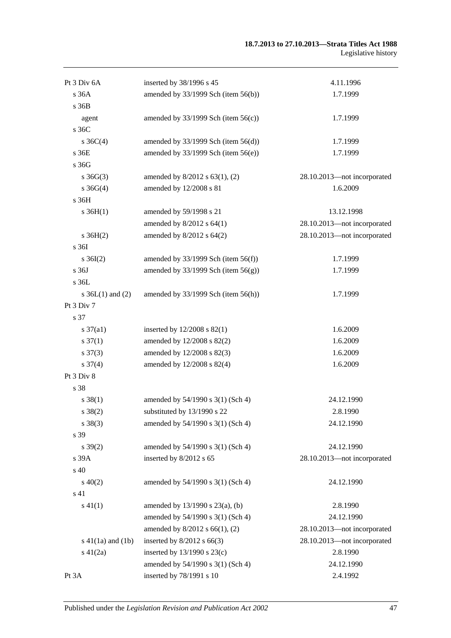| Pt 3 Div 6A            | inserted by 38/1996 s 45                 | 4.11.1996                   |
|------------------------|------------------------------------------|-----------------------------|
| s 36A                  | amended by 33/1999 Sch (item 56(b))      | 1.7.1999                    |
| s 36B                  |                                          |                             |
| agent                  | amended by $33/1999$ Sch (item $56(c)$ ) | 1.7.1999                    |
| s 36C                  |                                          |                             |
| s $36C(4)$             | amended by $33/1999$ Sch (item $56(d)$ ) | 1.7.1999                    |
| s 36E                  | amended by $33/1999$ Sch (item $56(e)$ ) | 1.7.1999                    |
| s 36G                  |                                          |                             |
| $s \, 36G(3)$          | amended by 8/2012 s 63(1), (2)           | 28.10.2013-not incorporated |
| $s \; 36G(4)$          | amended by 12/2008 s 81                  | 1.6.2009                    |
| s 36H                  |                                          |                             |
| $s \, 36H(1)$          | amended by 59/1998 s 21                  | 13.12.1998                  |
|                        | amended by 8/2012 s 64(1)                | 28.10.2013-not incorporated |
| $s \, 36H(2)$          | amended by 8/2012 s 64(2)                | 28.10.2013-not incorporated |
| s 36I                  |                                          |                             |
| $s \, 36I(2)$          | amended by $33/1999$ Sch (item $56(f)$ ) | 1.7.1999                    |
| s 36J                  | amended by $33/1999$ Sch (item $56(g)$ ) | 1.7.1999                    |
| s 36L                  |                                          |                             |
| s $36L(1)$ and $(2)$   | amended by 33/1999 Sch (item 56(h))      | 1.7.1999                    |
| Pt 3 Div 7             |                                          |                             |
| s 37                   |                                          |                             |
| $s \frac{37}{a1}$      | inserted by $12/2008$ s $82(1)$          | 1.6.2009                    |
| $s \frac{37(1)}{2}$    | amended by 12/2008 s 82(2)               | 1.6.2009                    |
| $s \frac{37(3)}{2}$    | amended by 12/2008 s 82(3)               | 1.6.2009                    |
| $s \frac{37(4)}{4}$    | amended by 12/2008 s 82(4)               | 1.6.2009                    |
| Pt 3 Div 8             |                                          |                             |
| s 38                   |                                          |                             |
| $s \, 38(1)$           | amended by 54/1990 s 3(1) (Sch 4)        | 24.12.1990                  |
| $s \, 38(2)$           | substituted by $13/1990$ s 22            | 2.8.1990                    |
| $s \ 38(3)$            | amended by 54/1990 s 3(1) (Sch 4)        | 24.12.1990                  |
| s 39                   |                                          |                             |
| $s \, 39(2)$           | amended by 54/1990 s 3(1) (Sch 4)        | 24.12.1990                  |
| s 39A                  | inserted by 8/2012 s 65                  | 28.10.2013-not incorporated |
| s 40                   |                                          |                             |
| $s\ 40(2)$             | amended by 54/1990 s 3(1) (Sch 4)        | 24.12.1990                  |
| s 41                   |                                          |                             |
| $s\ 41(1)$             | amended by $13/1990$ s $23(a)$ , (b)     | 2.8.1990                    |
|                        | amended by 54/1990 s 3(1) (Sch 4)        | 24.12.1990                  |
|                        | amended by 8/2012 s 66(1), (2)           | 28.10.2013-not incorporated |
| $s\ 41(1a)$ and $(1b)$ | inserted by $8/2012$ s 66(3)             | 28.10.2013-not incorporated |
| $s\ 41(2a)$            | inserted by $13/1990$ s $23(c)$          | 2.8.1990                    |
|                        | amended by 54/1990 s 3(1) (Sch 4)        | 24.12.1990                  |
| Pt 3A                  | inserted by 78/1991 s 10                 | 2.4.1992                    |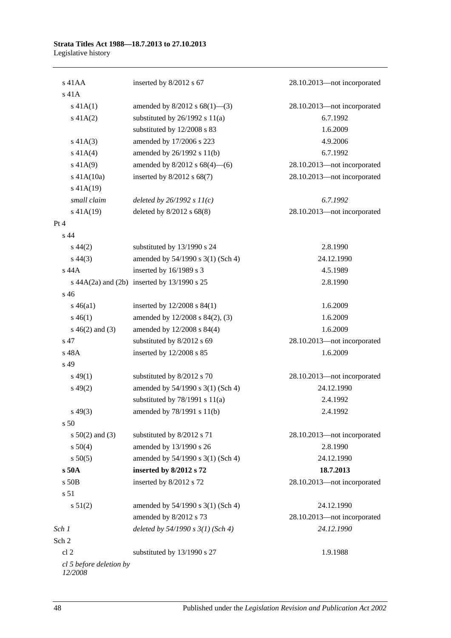| $s$ 41AA                           | inserted by 8/2012 s 67                     | 28.10.2013-not incorporated |
|------------------------------------|---------------------------------------------|-----------------------------|
| s 41A                              |                                             |                             |
| $s\ 41A(1)$                        | amended by $8/2012$ s $68(1)$ —(3)          | 28.10.2013-not incorporated |
| $s\ 41A(2)$                        | substituted by $26/1992$ s $11(a)$          | 6.7.1992                    |
|                                    | substituted by 12/2008 s 83                 | 1.6.2009                    |
| $s\ 41A(3)$                        | amended by 17/2006 s 223                    | 4.9.2006                    |
| $s\ 41A(4)$                        | amended by 26/1992 s 11(b)                  | 6.7.1992                    |
| $s\ 41A(9)$                        | amended by $8/2012$ s $68(4)$ —(6)          | 28.10.2013-not incorporated |
| $s$ 41A(10a)                       | inserted by $8/2012$ s $68(7)$              | 28.10.2013-not incorporated |
| $s$ 41A(19)                        |                                             |                             |
| small claim                        | deleted by $26/1992 s 11(c)$                | 6.7.1992                    |
| $s\ 41A(19)$                       | deleted by 8/2012 s 68(8)                   | 28.10.2013-not incorporated |
| Pt 4                               |                                             |                             |
| s 44                               |                                             |                             |
| $s\,44(2)$                         | substituted by 13/1990 s 24                 | 2.8.1990                    |
| $s\,44(3)$                         | amended by 54/1990 s 3(1) (Sch 4)           | 24.12.1990                  |
| s 44A                              | inserted by 16/1989 s 3                     | 4.5.1989                    |
|                                    | s 44A(2a) and (2b) inserted by 13/1990 s 25 | 2.8.1990                    |
| s 46                               |                                             |                             |
| $s\,46(a1)$                        | inserted by $12/2008$ s $84(1)$             | 1.6.2009                    |
| $s\,46(1)$                         | amended by 12/2008 s 84(2), (3)             | 1.6.2009                    |
| $s\ 46(2)$ and (3)                 | amended by 12/2008 s 84(4)                  | 1.6.2009                    |
| s 47                               | substituted by 8/2012 s 69                  | 28.10.2013-not incorporated |
| s 48A                              | inserted by 12/2008 s 85                    | 1.6.2009                    |
| s 49                               |                                             |                             |
| $s\,49(1)$                         | substituted by 8/2012 s 70                  | 28.10.2013-not incorporated |
| $s\,49(2)$                         | amended by 54/1990 s 3(1) (Sch 4)           | 24.12.1990                  |
|                                    | substituted by $78/1991$ s $11(a)$          | 2.4.1992                    |
| $s\,49(3)$                         | amended by 78/1991 s 11(b)                  | 2.4.1992                    |
| s <sub>50</sub>                    |                                             |                             |
| $s\ 50(2)$ and (3)                 | substituted by 8/2012 s 71                  | 28.10.2013-not incorporated |
| s 50(4)                            | amended by 13/1990 s 26                     | 2.8.1990                    |
| s 50(5)                            | amended by 54/1990 s 3(1) (Sch 4)           | 24.12.1990                  |
| s 50A                              | inserted by 8/2012 s 72                     | 18.7.2013                   |
| s 50B                              | inserted by 8/2012 s 72                     | 28.10.2013-not incorporated |
| s 51                               |                                             |                             |
|                                    |                                             |                             |
| s 51(2)                            | amended by 54/1990 s 3(1) (Sch 4)           | 24.12.1990                  |
|                                    | amended by 8/2012 s 73                      | 28.10.2013-not incorporated |
| Sch 1                              | deleted by $54/1990 s 3(1)$ (Sch 4)         | 24.12.1990                  |
| Sch 2                              |                                             |                             |
| cl <sub>2</sub>                    | substituted by 13/1990 s 27                 | 1.9.1988                    |
| cl 5 before deletion by<br>12/2008 |                                             |                             |